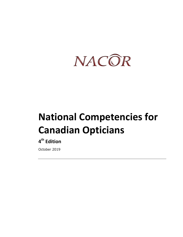

# **National Competencies for Canadian Opticians**

### **4th Edition**

October 2019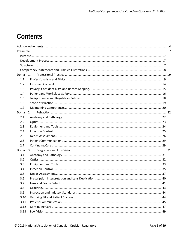### **Contents**

| Domain 1. |  |
|-----------|--|
| 1.1       |  |
| 1.2       |  |
| 1.3       |  |
| 1.4       |  |
| 1.5       |  |
| 1.6       |  |
| 1.7       |  |
| Domain 2. |  |
| 2.1       |  |
| 2.2       |  |
| 2.3       |  |
| 2.4       |  |
| 2.5       |  |
| 2.6       |  |
| 2.7       |  |
| Domain 3. |  |
| 3.1       |  |
| 3.2       |  |
| 3.3       |  |
| 3.4       |  |
| 3.5       |  |
| 3.6       |  |
| 3.7       |  |
| 3.8       |  |
| 3.9       |  |
| 3.10      |  |
| 3.11      |  |
| 3.12      |  |
| 3.13      |  |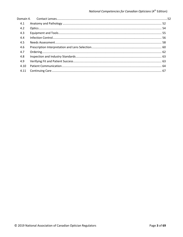| Domain 4. |  |
|-----------|--|
| 4.1       |  |
| 4.2       |  |
| 4.3       |  |
| 4.4       |  |
| 4.5       |  |
| 4.6       |  |
| 4.7       |  |
| 4.8       |  |
| 4.9       |  |
| 4.10      |  |
| 4.11      |  |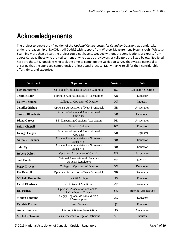# <span id="page-3-0"></span>**Acknowledgements**

The project to create the 4<sup>th</sup> edition of the *National Competencies for Canadian Opticians* was undertaken under the leadership of NACOR (Jodi Dodds) with support from Wickett Measurement Systems (John Wickett). Spanning more than a year, the project could not have succeeded without the contributions of experts from across Canada. Those who drafted content or who acted as reviewers or validators are listed below. Not listed here are the 1,747 opticians who took the time to complete the validation survey that was so essential to ensuring that the approved competencies reflect actual practice. Many thanks to all for their considerable effort, time, and expertise.

| Organization<br>Participant                                       |                                                                | <b>Province</b> | Role                  |
|-------------------------------------------------------------------|----------------------------------------------------------------|-----------------|-----------------------|
| College of Opticians of British Columbia<br><b>Lisa Bannerman</b> |                                                                | <b>BC</b>       | Regulator, Steering   |
| <b>Jeannie Barr</b>                                               | Northern Alberta Institute of Technology                       | AB              | Educator              |
| <b>Cathy Beaulieu</b>                                             | College of Opticians of Ontario                                | ON              | Industry              |
| <b>Jennifer Bishop</b>                                            | <b>Opticians Association of New Brunswick</b>                  | NB              | Association           |
| <b>Sandra Blanchette</b>                                          | Alberta College and Association of<br>Opticians                | AB              | Developer             |
| <b>Diana Carver</b>                                               | PEI Dispensing Opticians Association                           | PE              | Association           |
| <b>Brian Chapell</b>                                              | Douglas College                                                | BC              | Educator              |
| <b>George Colgan</b>                                              | Alberta College and Association of<br>Opticians                | AB              | Regulator             |
| <b>Nathalie Cormier</b>                                           | Collège Communautaire du Nouveau-<br>Brunswick                 | NB              | Educator              |
| <b>Julie Cyr</b>                                                  | Collège Communautaire du Nouveau-<br>NB<br>Brunswick           |                 | Educator              |
| <b>Robert Dalton</b>                                              | Opticians Association of Canada                                | <b>NS</b>       |                       |
| <b>Jodi Dodds</b>                                                 | National Association of Canadian<br><b>Optician Regulators</b> | MB              | <b>NACOR</b>          |
| <b>Peggy Dreyer</b>                                               | College of Opticians of Ontario                                | ON              | Developer             |
| <b>Pat Driscoll</b>                                               | Opticians Association of New Brunswick                         | NB              | Regulator             |
| <b>Michaël Dumoulin</b>                                           | La Cité College                                                | <b>ON</b>       | Educator              |
| <b>Carol Ellerbeck</b>                                            | Opticians of Manitoba                                          | <b>MB</b>       | Regulator             |
| <b>Bill Fedrau</b>                                                | Opticians Association of Canada -<br>Saskatchewan Chapter      | <b>SK</b>       | Steering, Association |
| <b>Manon Fontaine</b>                                             | Cégep Régional de Lanaudière à<br>L'Assomption                 | QC              | Educator              |
| Cégep Garneau<br><b>Cynthia Fortier</b>                           |                                                                | QC              | Educator              |
| <b>Amber Fournier</b><br><b>Ontario Opticians Association</b>     |                                                                | <b>ON</b>       | Association           |
| <b>Michelle Gennutt</b><br>Saskatchewan College of Opticians      |                                                                | <b>SK</b>       | Industry              |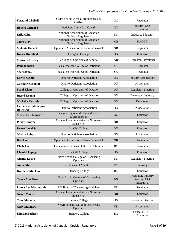| Ordre des opticiens d'ordonnances du<br><b>Fernand Ghobril</b><br>Québec |                                                                | QC        | Regulator                                          |
|--------------------------------------------------------------------------|----------------------------------------------------------------|-----------|----------------------------------------------------|
| Opticians Council of Canada<br><b>Robert Grimard</b>                     |                                                                | QC        | Industry, OCC<br>Executive                         |
| <b>Erik Hahn</b>                                                         | National Association of Canadian<br><b>Optician Regulators</b> | <b>NS</b> | Industry, Educator                                 |
| <b>Jaime Hay</b>                                                         | National Association of Canadian<br><b>Optician Regulators</b> | <b>MB</b> | <b>NACOR</b>                                       |
| <b>Melonie Hebert</b>                                                    | Opticians Association of New Brunswick                         | NB        | Regulator                                          |
| <b>Karen Hirshfeld</b>                                                   | Georgian College                                               | <b>ON</b> | Educator                                           |
| <b>Maureen Hussey</b>                                                    | College of Opticians of Alberta                                | AB        | Regulator, Developer                               |
| <b>Paul Johnson</b>                                                      | Saskatchewan College of Opticians                              | <b>SK</b> | Regulator                                          |
| <b>Sheri Jones</b>                                                       | Saskatchewan College of Opticians                              | <b>SK</b> | Regulator                                          |
| <b>Lorne Kashin</b>                                                      | <b>Ontario Opticians Association</b>                           | ON        | Industry, Association                              |
| Zulfikar Kasmani                                                         | <b>Ontario Opticians Association</b>                           | <b>ON</b> | Association                                        |
| <b>Fazal Khan</b>                                                        | College of Opticians of Ontario                                | <b>ON</b> | Regulator, Steering                                |
| <b>Ingrid Koenig</b>                                                     | College of Opticians of Ontario                                | <b>ON</b> | Developer, Industry                                |
| <b>Michelle Kushnir</b>                                                  | College of Opticians of Ontario                                | ON        | Developer                                          |
| <b>Catherine Labrecque-</b><br>Rowntree                                  | <b>Ontario Opticians Association</b>                           | ON        | Association                                        |
| <b>Marie-Pier Lamarre</b>                                                | Cégep Régional de Lanaudière à<br>L'Assomption                 | QC        | Educator                                           |
| <b>Pierre Landry</b>                                                     | Collège Communautaire du Nouveau-<br><b>Brunswick</b>          | NB        | Educator                                           |
| <b>Renée Lavallée</b>                                                    | La Cité College                                                | ON        | Educator                                           |
| <b>Martin Lebeau</b>                                                     | <b>Ontario Opticians Association</b>                           | <b>ON</b> | Association                                        |
| <b>Bob Lee</b>                                                           | <b>Opticians Association of New Brunswick</b>                  | NB        | Regulator                                          |
| <b>Chris</b> Lee                                                         | College of Opticians of British Columbia<br><b>BC</b>          |           | Regulator                                          |
| <b>Chantal Lepage</b>                                                    | La Cité College                                                | 0N        | Educator                                           |
| <b>Glenna Locke</b>                                                      | Nova Scotia College of Dispensing<br>Opticians                 | <b>NS</b> | Regulator, Steering                                |
| <b>Annie Ma</b>                                                          | Opticians of Manitoba                                          | <b>MB</b> | Industry                                           |
| <b>Kathleen MacLeod</b>                                                  | <b>Stenberg College</b>                                        | BC        | Educator                                           |
| <b>Tanya MacPhee</b>                                                     | Nova Scotia College of Dispensing<br>Opticians                 | <b>NS</b> | Regulator, Industry,<br>Steering, OCC<br>Executive |
| Laura Lee Macquarrie                                                     | PEI Board of Dispensing Opticians                              | PE        | Regulator                                          |
| <b>Nicole Maillet</b>                                                    | Collège Communautaire du Nouveau-<br><b>Brunswick</b>          | NB        | Educator                                           |
| <b>Tony Mallette</b>                                                     | Seneca College                                                 | <b>ON</b> | Educator, Steering                                 |
| <b>Gary Maynard</b>                                                      | Newfoundland Guild of Dispensing<br>Opticians                  | <b>NL</b> | Association                                        |
| <b>Kim McEachern</b>                                                     | <b>Stenberg College</b>                                        | BC        | Educator, OCC<br>Executive                         |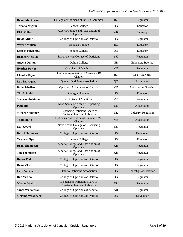| <b>David McGowan</b><br>College of Opticians of British Columbia |                                                            | <b>BC</b>       | Regulator             |
|------------------------------------------------------------------|------------------------------------------------------------|-----------------|-----------------------|
| <b>Tatiana Mighiu</b><br>Seneca College                          |                                                            | <b>ON</b>       | Educator              |
| <b>Rick Miller</b>                                               | Alberta College and Association of<br>Opticians            | AB              | Industry              |
| <b>David Milne</b>                                               | College of Opticians of Ontario                            | <b>ON</b>       | Regulator             |
| <b>Wayne Mullen</b>                                              | Douglas College                                            | <b>BC</b>       | Educator              |
| <b>Korosh Nikeghbal</b>                                          | Seneca College                                             | <b>ON</b>       | Educator              |
| <b>Deanne Oleksyn</b>                                            | Saskatchewan College of Opticians                          | <b>SK</b>       | Regulator             |
| <b>Angela Oulton</b>                                             | <b>Oulton College</b>                                      | NB              | Educator, Steering    |
| <b>Heather Power</b>                                             | Opticians of Manitoba                                      | <b>MB</b>       | Regulator             |
| Claudia Rojas                                                    | Opticians Association of Canada - BC<br>Chapter            | BC              | <b>OCC</b> Executive  |
| Luc Sauvageau                                                    | Quebec Opticians Association                               | QC              | Association           |
| <b>Dalie Schellen</b>                                            | Opticians Association of Canada                            | <b>MB</b>       | Association, Steering |
| <b>Tim Schmidt</b>                                               | Georgian College                                           | ON              | Educator              |
| <b>Shervin Shahidian</b>                                         | Opticians of Manitoba                                      | <b>MB</b>       | Regulator             |
| <b>Paul Sim</b>                                                  | Nova Scotia Society of Dispensing<br>Opticians             | <b>NS</b>       | Association           |
| <b>Michelle Skinner</b>                                          | Dispensing Opticians Board of<br>Newfoundland and Labrador | NL              | Industry, Regulator   |
| <b>Todd Smith</b>                                                | Opticians Association of Canada - MB<br>Chapter            | <b>MB</b>       | Association           |
| <b>Gail Stacey</b>                                               | Nova Scotia College of Dispensing<br>Opticians             | <b>NS</b>       | Regulator             |
| <b>Derick Summers</b>                                            | College of Opticians of Ontario                            | ON              | Developer             |
| <b>Yasmeen Syed</b>                                              | Seneca College                                             | <b>ON</b>       | Educator              |
| <b>Dean Thompson</b>                                             | Alberta College and Association of<br>Opticians            | AB              | Regulator             |
| <b>Jim Thompson</b>                                              | Alberta College and Association of<br>Opticians            | Regulator<br>AB |                       |
| <b>Bryan Todd</b>                                                | College of Opticians of Ontario                            | ON              | Regulator             |
| <b>Dennis Tse</b>                                                | College of Opticians of Ontario                            | <b>ON</b>       | Regulator             |
| <b>Cara Vezina</b>                                               | <b>Ontario Opticians Association</b>                       | ON              | Industry, Association |
| <b>Rob Vezina</b>                                                | College of Opticians of Ontario                            | <b>ON</b>       | Regulator             |
| <b>Marian Walsh</b>                                              | Dispensing Opticians Board of<br>Newfoundland and Labrador | $\rm NL$        | Regulator             |
| College of Opticians of Alberta<br>Sandi Williamson              |                                                            | AB              | Regulator             |
| College of Opticians of Ontario<br><b>Melanie Woodbeck</b><br>ON |                                                            | Developer       |                       |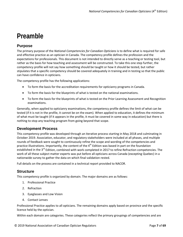### <span id="page-6-0"></span>**Preamble**

#### <span id="page-6-1"></span>**Purpose**

The primary purpose of the *National Competencies for Canadian Opticians* is to define what is required for safe and effective practice as an optician in Canada. The competency profile defines the profession and the expectations for professionals. This document is not intended to directly serve as a teaching or testing tool, but rather as the basis for how teaching and assessment will be constructed. To take this one step further, the competency profile will not say how something should be taught or how it should be tested, but rather stipulates that a specific competency should be covered adequately in training and in testing so that the public can have confidence in opticians.

The competency profile has the following applications:

- To form the basis for the accreditation requirements for opticianry programs in Canada.
- To form the basis for the blueprints of what is tested on the national examinations.
- To form the basis for the blueprints of what is tested on the Prior Learning Assessment and Recognition examinations.

Generally, when applied to opticianry examinations, the competency profile defines the limit of what can be tested (if it is not in the profile, it cannot be on the exam). When applied to education, it defines the minimum of what must be taught (if it appears in the profile, it must be covered in some way in education) but there is nothing to stop any teaching program from going beyond that scope.

#### <span id="page-6-2"></span>**Development Process**

This competency profile was developed through an iterative process starting in May 2018 and culminating in October 2019. Association, educator, and regulatory stakeholders were included at all phases, and multiple rounds of feedback were sought to continuously refine the scope and wording of the competencies and practice illustrations. Importantly, the content of the  $4<sup>th</sup>$  Edition was based in part on the foundation established in the 3<sup>rd</sup> Edition, combined with work completed in 2017 to refine Refraction competencies. The work of all these subject matter experts was put before all opticians across Canada (excepting Quebec) in a nationwide survey to gather the data on which final validation rested.

Full details on the process are contained in a technical report provided to NACOR.

#### <span id="page-6-3"></span>**Structure**

This competency profile is organized by domain. The major domains are as follows:

- 1. Professional Practice
- 2. Refraction
- 3. Eyeglasses and Low Vision
- 4. Contact Lenses

Professional Practice applies to all opticians. The remaining domains apply based on province and the specific licence held by the optician.

Within each domain are categories. These categories reflect the primary groupings of competencies and are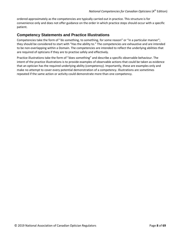ordered approximately as the competencies are typically carried out in practice. This structure is for convenience only and does not offer guidance on the order in which practice steps should occur with a specific patient.

#### <span id="page-7-0"></span>**Competency Statements and Practice Illustrations**

Competencies take the form of "do something, to something, for some reason" or "in a particular manner"; they should be considered to start with "Has the ability to." The competencies are exhaustive and are intended to be non-overlapping within a Domain. The competencies are intended to reflect the underlying abilities that are required of opticians if they are to practise safely and effectively.

Practice illustrations take the form of "does something" and describe a specific observable behaviour. The intent of the practice illustrations is to provide examples of observable actions that could be taken as evidence that an optician has the required underlying ability (competency). Importantly, these are examples only and make no attempt to cover every potential demonstration of a competency. Illustrations are sometimes repeated if the same action or activity could demonstrate more than one competency.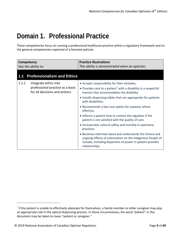### <span id="page-8-0"></span>**Domain 1. Professional Practice**

These competencies focus on running a professional healthcare practice within a regulatory framework and on the general competencies expected of a licensed optician.

<span id="page-8-1"></span>

| Competency<br>Has the ability to: |                                                                                             | <b>Practice Illustrations</b><br>This ability is demonstrated when an optician:                                                                                                                                                                                                                                     |
|-----------------------------------|---------------------------------------------------------------------------------------------|---------------------------------------------------------------------------------------------------------------------------------------------------------------------------------------------------------------------------------------------------------------------------------------------------------------------|
| 1.1                               | <b>Professionalism and Ethics</b>                                                           |                                                                                                                                                                                                                                                                                                                     |
| 1.1.1                             | Integrate ethics into<br>professional practice as a basis<br>for all decisions and actions. | • Accepts responsibility for their mistakes.<br>• Provides care to a patient <sup>*</sup> with a disability in a respectful<br>manner that accommodates the disability.<br>• Installs dispensing tables that are appropriate for patients<br>with disabilities.<br>• Recommends a low-cost option for eyewear where |
|                                   |                                                                                             | effective.<br>• Informs a patient how to contact the regulator if the<br>patient is not satisfied with the quality of care.                                                                                                                                                                                         |
|                                   |                                                                                             | • Incorporates cultural safety and humility in opticianry<br>practices.<br>• Becomes informed about and understands the history and<br>ongoing effects of colonization on the Indigenous People of<br>Canada, including disparities of power in patient-provider                                                    |
|                                   |                                                                                             | relationships.                                                                                                                                                                                                                                                                                                      |

l

<span id="page-8-2"></span><sup>\*</sup> If the patient is unable to effectively advocate for themselves, a family member or other caregiver may play an appropriate role in the optical dispensing process. In those circumstances, the word "patient" in this document may be taken to mean "patient or caregiver."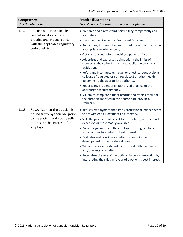| Competency<br>Has the ability to: |                                                                                                                                                        | <b>Practice Illustrations</b><br>This ability is demonstrated when an optician:                                                                                                                                                                                                                                                                                                                                                                                                                                                                                                                                                                                                                                                                                                                                                |
|-----------------------------------|--------------------------------------------------------------------------------------------------------------------------------------------------------|--------------------------------------------------------------------------------------------------------------------------------------------------------------------------------------------------------------------------------------------------------------------------------------------------------------------------------------------------------------------------------------------------------------------------------------------------------------------------------------------------------------------------------------------------------------------------------------------------------------------------------------------------------------------------------------------------------------------------------------------------------------------------------------------------------------------------------|
| 1.1.2                             | Practise within applicable<br>regulatory standards of<br>practice and in accordance<br>with the applicable regulatory<br>code of ethics.               | • Prepares and directs third-party billing competently and<br>accurately.<br>. Uses the title Licensed or Registered Optician.<br>. Reports any incident of unauthorized use of the title to the<br>appropriate regulatory body.<br>· Obtains consent before touching a patient's face.<br>• Advertises and expresses claims within the limits of<br>standards, the code of ethics, and applicable provincial<br>legislation.<br>• Refers any incompetent, illegal, or unethical conduct by a<br>colleague (regulated or non-regulated) or other health<br>personnel to the appropriate authority.<br>• Reports any incident of unauthorized practice to the<br>appropriate regulatory body.<br>• Maintains complete patient records and retains them for<br>the duration specified in the appropriate provincial<br>standard. |
| 1.1.3                             | Recognize that the optician is<br>bound firstly by their obligation<br>to the patient and not by self-<br>interest or the interest of the<br>employer. | • Refuses employment that limits professional independence<br>to act with good judgement and integrity.<br>• Sells the product that is best for the patient, not the most<br>expensive or most readily available.<br>• Presents grievances to the employer or resigns if forced to<br>work counter to a patient's best interest.<br>• Evaluates and prioritizes a patient's needs in the<br>development of the treatment plan.<br>. Will not provide treatment inconsistent with the needs<br>and/or wants of a patient.<br>• Recognizes the role of the optician in public protection by<br>interpreting the rules in favour of a patient's best interest.                                                                                                                                                                    |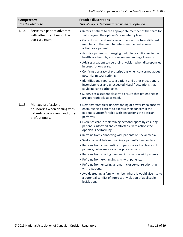| Competency<br>Has the ability to: |                                                                                                          | <b>Practice Illustrations</b><br>This ability is demonstrated when an optician:                                                                                                          |
|-----------------------------------|----------------------------------------------------------------------------------------------------------|------------------------------------------------------------------------------------------------------------------------------------------------------------------------------------------|
| 1.1.4                             | Serve as a patient advocate<br>with other members of the                                                 | • Refers a patient to the appropriate member of the team for<br>skills beyond the optician's competency level.                                                                           |
|                                   | eye-care team.                                                                                           | • Consults with and seeks recommendations from different<br>members of the team to determine the best course of<br>action for a patient.                                                 |
|                                   |                                                                                                          | • Assists a patient in managing multiple practitioners in the<br>healthcare team by ensuring understanding of results.                                                                   |
|                                   |                                                                                                          | • Advises a patient to see their physician when discrepancies<br>in prescriptions arise.                                                                                                 |
|                                   |                                                                                                          | • Confirms accuracy of prescriptions when concerned about<br>potential mistranscribing.                                                                                                  |
|                                   |                                                                                                          | • Identifies and reports to a patient and other practitioners<br>inconsistencies and unexpected visual fluctuations that<br>could indicate pathologies.                                  |
|                                   |                                                                                                          | • Supervises a student closely to ensure that patient needs<br>are appropriately addressed.                                                                                              |
| 1.1.5                             | Manage professional<br>boundaries when dealing with<br>patients, co-workers, and other<br>professionals. | • Demonstrates clear understanding of power imbalance by<br>encouraging a patient to express their concern if the<br>patient is uncomfortable with any actions the optician<br>performs. |
|                                   |                                                                                                          | • Exercises care in maintaining personal space by ensuring<br>patient is informed and comfortable with actions the<br>optician is performing.                                            |
|                                   |                                                                                                          | • Refrains from connecting with patients on social media.                                                                                                                                |
|                                   |                                                                                                          | • Seeks consent before touching a patient's head or face.                                                                                                                                |
|                                   |                                                                                                          | • Refrains from commenting on personal or life choices of<br>patients, colleagues, or other professionals.                                                                               |
|                                   |                                                                                                          | • Refrains from sharing personal information with patients.                                                                                                                              |
|                                   |                                                                                                          | • Refrains from exchanging gifts with patients.                                                                                                                                          |
|                                   |                                                                                                          | • Refrains from entering a romantic or sexual relationship<br>with a patient.                                                                                                            |
|                                   |                                                                                                          | • Avoids treating a family member where it would give rise to<br>a potential conflict of interest or violation of applicable<br>legislation.                                             |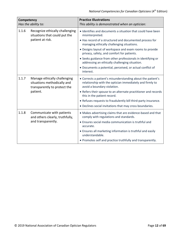| Competency<br>Has the ability to: |                                                                                                         | <b>Practice Illustrations</b><br>This ability is demonstrated when an optician:                                                                                                                                                                                                                                                                                                                                                                                                             |
|-----------------------------------|---------------------------------------------------------------------------------------------------------|---------------------------------------------------------------------------------------------------------------------------------------------------------------------------------------------------------------------------------------------------------------------------------------------------------------------------------------------------------------------------------------------------------------------------------------------------------------------------------------------|
| 1.1.6                             | Recognize ethically challenging<br>situations that could put the<br>patient at risk.                    | • Identifies and documents a situation that could have been<br>misinterpreted.<br>• Has record of a structured and documented process for<br>managing ethically challenging situations.<br>• Designs layout of workspace and exam rooms to provide<br>privacy, safety, and comfort for patients.<br>• Seeks guidance from other professionals in identifying or<br>addressing an ethically challenging situation.<br>• Documents a potential, perceived, or actual conflict of<br>interest. |
| 1.1.7                             | Manage ethically challenging<br>situations methodically and<br>transparently to protect the<br>patient. | • Corrects a patient's misunderstanding about the patient's<br>relationship with the optician immediately and firmly to<br>avoid a boundary violation.<br>• Refers their spouse to an alternate practitioner and records<br>this in the patient record.<br>• Refuses requests to fraudulently bill third-party insurance.<br>• Declines social invitations that may cross boundaries.                                                                                                       |
| 1.1.8                             | Communicate with patients<br>and others clearly, truthfully,<br>and transparently.                      | • Makes advertising claims that are evidence-based and that<br>comply with regulations and standards.<br>• Ensures social media communication is truthful and<br>accurate.<br>• Ensures all marketing information is truthful and easily<br>understandable.<br>• Promotes self and practice truthfully and transparently.                                                                                                                                                                   |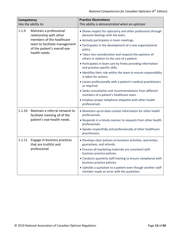| Competency<br>Has the ability to: |                                                                                                                                                                    | <b>Practice Illustrations</b><br>This ability is demonstrated when an optician:                                                                                                                                                                                                                                                                                                                                                                                                                                                                                                                                                                                                                                                                                                                    |
|-----------------------------------|--------------------------------------------------------------------------------------------------------------------------------------------------------------------|----------------------------------------------------------------------------------------------------------------------------------------------------------------------------------------------------------------------------------------------------------------------------------------------------------------------------------------------------------------------------------------------------------------------------------------------------------------------------------------------------------------------------------------------------------------------------------------------------------------------------------------------------------------------------------------------------------------------------------------------------------------------------------------------------|
| 1.1.9                             | Maintain a professional<br>relationship with other<br>members of the healthcare<br>team to facilitate management<br>of the patient's overall eye-<br>health needs. | • Shows respect for opticianry and other professions through<br>pleasant dealings with the team.<br>• Actively participates in team meetings.<br>• Participates in the development of a new organizational<br>policy.<br>• Takes into consideration and respects the opinions of<br>others in relation to the care of a patient.<br>• Participates in team care by freely providing information<br>and practice-specific skills.<br>• Identifies their role within the team to ensure responsibility<br>is taken for actions.<br>• Liaises professionally with a patient's medical practitioners<br>as required.<br>• Seeks consultation and recommendations from different<br>members of a patient's healthcare team.<br>• Employs proper telephone etiquette with other health<br>professionals. |
| 1.1.10                            | Maintain a referral network to<br>facilitate meeting all of the<br>patient's eye-health needs.                                                                     | • Maintains up-to-date contact information for other health<br>professionals.<br>• Responds in a timely manner to requests from other health<br>professionals.<br>• Speaks respectfully and professionally of other healthcare<br>practitioners.                                                                                                                                                                                                                                                                                                                                                                                                                                                                                                                                                   |
| 1.1.11                            | Engage in business practices<br>that are truthful and<br>professional.                                                                                             | • Develops clear policies on business activities, warranties,<br>guarantees, and refunds.<br>• Ensures all marketing materials are consistent with<br>business practice policies.<br>• Conducts quarterly staff training to ensure compliance with<br>business practice policies.<br>• Upholds a quotation to a patient even though another staff<br>member made an error with the quotation.                                                                                                                                                                                                                                                                                                                                                                                                      |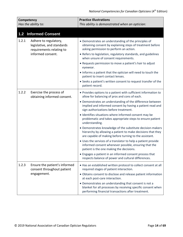<span id="page-13-0"></span>

| Competency<br>Has the ability to: |                                                                                 | <b>Practice Illustrations</b><br>This ability is demonstrated when an optician:                                                                                                     |
|-----------------------------------|---------------------------------------------------------------------------------|-------------------------------------------------------------------------------------------------------------------------------------------------------------------------------------|
| $1.2$                             | <b>Informed Consent</b>                                                         |                                                                                                                                                                                     |
| 1.2.1                             | Adhere to regulatory,<br>legislative, and standards<br>requirements relating to | • Demonstrates an understanding of the principles of<br>obtaining consent by explaining steps of treatment before<br>asking permission to perform an action.                        |
|                                   | informed consent.                                                               | • Refers to legislation, regulatory standards, and guidelines<br>when unsure of consent requirements.                                                                               |
|                                   |                                                                                 | • Requests permission to move a patient's hair to adjust<br>eyewear.                                                                                                                |
|                                   |                                                                                 | • Informs a patient that the optician will need to touch the<br>patient to insert contact lenses.                                                                                   |
|                                   |                                                                                 | • Seeks a patient's written consent to request transfer of the<br>patient record.                                                                                                   |
| 1.2.2                             | Exercise the process of<br>obtaining informed consent.                          | • Provides options to a patient with sufficient information to<br>allow for balancing of pros and cons of each.                                                                     |
|                                   |                                                                                 | • Demonstrates an understanding of the difference between<br>implied and informed consent by having a patient read and<br>sign authorizations before treatment.                     |
|                                   |                                                                                 | · Identifies situations where informed consent may be<br>problematic and takes appropriate steps to ensure patient<br>understanding.                                                |
|                                   |                                                                                 | • Demonstrates knowledge of the substitute decision-makers<br>hierarchy by allowing a patient to make decisions that they<br>are capable of making before turning to the assistant. |
|                                   |                                                                                 | • Uses the services of a translator to help a patient provide<br>informed consent whenever possible, ensuring that the<br>patient is the one making the decisions.                  |
|                                   |                                                                                 | • Engages a patient in an informed consent process that<br>respects balance of power and cultural differences.                                                                      |
| 1.2.3                             | Ensure the patient's informed<br>consent throughout patient                     | . Has an established written protocol to collect consent at all<br>required stages of patient interaction.                                                                          |
|                                   | engagement.                                                                     | • Obtains consent to disclose and release patient information<br>at each post-care interaction.                                                                                     |
|                                   |                                                                                 | • Demonstrates an understanding that consent is not a<br>blanket for all processes by receiving specific consent when<br>performing financial transactions after treatment.         |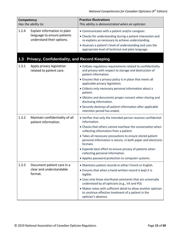<span id="page-14-0"></span>

| Competency<br>Has the ability to: |                                                                                          | <b>Practice Illustrations</b><br>This ability is demonstrated when an optician:                                                                                                                                                                                                                                                                                                                                                                                                                            |
|-----------------------------------|------------------------------------------------------------------------------------------|------------------------------------------------------------------------------------------------------------------------------------------------------------------------------------------------------------------------------------------------------------------------------------------------------------------------------------------------------------------------------------------------------------------------------------------------------------------------------------------------------------|
| 1.2.4                             | Explain information in plain<br>language to ensure patients<br>understand their options. | • Communicates with a patient and/or caregiver.<br>• Checks for understanding during a patient interaction and<br>re-explains as necessary to achieve understanding.<br>• Assesses a patient's level of understanding and uses the<br>appropriate level of technical and plain language.                                                                                                                                                                                                                   |
| 1.3                               | Privacy, Confidentiality, and Record Keeping                                             |                                                                                                                                                                                                                                                                                                                                                                                                                                                                                                            |
| 1.3.1                             | Apply privacy legislation<br>related to patient care.                                    | • Follows regulatory requirements related to confidentiality<br>and privacy with respect to storage and destruction of<br>patient information.<br>• Ensures that a privacy policy is in place that meets all<br>applicable privacy legislation.<br>• Collects only necessary personal information about a<br>patient.<br>• Obtains and documents proper consent when sharing and<br>disclosing information.<br>• Securely destroys all patient information after applicable<br>retention period has ended. |
| 1.3.2                             | Maintain confidentiality of all<br>patient information.                                  | • Verifies that only the intended person receives confidential<br>information.<br>• Checks that others cannot overhear the conversation when<br>collecting information from a patient.<br>• Takes all necessary precautions to ensure stored patient<br>personal information is secure, in both paper and electronic<br>formats.<br>• Expends best effort to ensure privacy of patients when<br>collecting personal information.<br>• Applies password protection to computer systems.                     |
| 1.3.3                             | Document patient care in a<br>clear and understandable<br>format.                        | • Maintains patient records in either French or English.<br>• Ensures that when a hand-written record is kept it is<br>legible.<br>• Uses only those shorthand comments that are universally<br>understood by all opticians (e.g., VA and PD).<br>• Makes notes with sufficient detail to allow another optician<br>to continue effective treatment of a patient in the<br>optician's absence.                                                                                                             |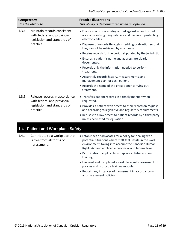<span id="page-15-0"></span>

| Competency<br>Has the ability to: |                                                                                                           | <b>Practice Illustrations</b><br>This ability is demonstrated when an optician:                                                                                                                                                       |
|-----------------------------------|-----------------------------------------------------------------------------------------------------------|---------------------------------------------------------------------------------------------------------------------------------------------------------------------------------------------------------------------------------------|
| 1.3.4                             | Maintain records consistent<br>with federal and provincial<br>legislation and standards of                | • Ensures records are safeguarded against unauthorized<br>access by locking filing cabinets and password protecting<br>electronic files.                                                                                              |
|                                   | practice.                                                                                                 | • Disposes of records through shredding or deletion so that<br>they cannot be retrieved by any means.                                                                                                                                 |
|                                   |                                                                                                           | • Retains records for the period stipulated by the jurisdiction.                                                                                                                                                                      |
|                                   |                                                                                                           | • Ensures a patient's name and address are clearly<br>documented.                                                                                                                                                                     |
|                                   |                                                                                                           | • Records only the information needed to perform<br>treatment.                                                                                                                                                                        |
|                                   |                                                                                                           | • Accurately records history, measurements, and<br>management plan for each patient.                                                                                                                                                  |
|                                   |                                                                                                           | • Records the name of the practitioner carrying out<br>treatment.                                                                                                                                                                     |
| 1.3.5                             | Release records in accordance<br>with federal and provincial<br>legislation and standards of<br>practice. | • Transfers patient records in a timely manner when<br>requested.                                                                                                                                                                     |
|                                   |                                                                                                           | • Provides a patient with access to their record on request<br>and according to legislative and regulatory requirements.                                                                                                              |
|                                   |                                                                                                           | • Refuses to allow access to patient records by a third party<br>unless permitted by legislation.                                                                                                                                     |
| 1.4                               | <b>Patient and Workplace Safety</b>                                                                       |                                                                                                                                                                                                                                       |
| 1.4.1                             | Contribute to a workplace that<br>is free from all forms of<br>harassment.                                | • Establishes or advocates for a policy for dealing with<br>potential situations where staff feel unsafe in the work<br>environment, taking into account the Canadian Human<br>Rights Act and applicable provincial and federal laws. |
|                                   |                                                                                                           | • Participates in applicable workplace anti-harassment<br>training.                                                                                                                                                                   |
|                                   |                                                                                                           | • Has read and completed a workplace anti-harassment<br>policies and protocols training module.                                                                                                                                       |
|                                   |                                                                                                           | • Reports any instances of harassment in accordance with<br>anti-harassment policies.                                                                                                                                                 |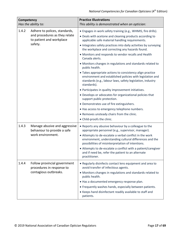| Competency<br>Has the ability to: |                                                                                                       | <b>Practice Illustrations</b><br>This ability is demonstrated when an optician:                                                                                                                                                                                                                                                                                                                                                                                                                                                                                                                                                                                                                                                                                                                                                                                                                                  |
|-----------------------------------|-------------------------------------------------------------------------------------------------------|------------------------------------------------------------------------------------------------------------------------------------------------------------------------------------------------------------------------------------------------------------------------------------------------------------------------------------------------------------------------------------------------------------------------------------------------------------------------------------------------------------------------------------------------------------------------------------------------------------------------------------------------------------------------------------------------------------------------------------------------------------------------------------------------------------------------------------------------------------------------------------------------------------------|
| 1.4.2                             | Adhere to polices, standards,<br>and procedures as they relate<br>to patient and workplace<br>safety. | • Engages in work safety training (e.g., WHMIS, fire drills).<br>• Deals with acetone and cleaning products according to<br>applicable safe material handling requirements.<br>• Integrates safety practices into daily activities by surveying<br>the workplace and correcting any hazards found.<br>• Monitors and responds to vendor recalls and Health<br>Canada alerts.<br>• Monitors changes in regulations and standards related to<br>public health.<br>• Takes appropriate actions to consistency align practice<br>environment and established policies with legislation and<br>standards (e.g., labour laws, safety legislation, industry<br>standards).<br>• Participates in quality improvement initiatives.<br>• Develops or advocates for organizational policies that<br>support public protection.<br>• Demonstrates use of fire extinguishers.<br>• Has access to emergency telephone numbers. |
|                                   |                                                                                                       | . Removes unsteady chairs from the clinic.<br>• Child-proofs the clinic.                                                                                                                                                                                                                                                                                                                                                                                                                                                                                                                                                                                                                                                                                                                                                                                                                                         |
| 1.4.3                             | Manage abusive and aggressive<br>behaviour to provide a safe<br>work environment.                     | • Reports any abusive behaviour by a colleague to the<br>appropriate personnel (e.g., supervisor, manager).<br>• Attempts to de-escalate a verbal conflict in the work<br>environment, understanding cultural differences and the<br>possibilities of misinterpretation of intentions.<br>• Attempts to de-escalate a conflict with a patient/caregiver<br>and if need be, refer the patient to an alternate<br>practitioner.                                                                                                                                                                                                                                                                                                                                                                                                                                                                                    |
| 1.4.4                             | Follow provincial government<br>procedures in response to<br>contagious outbreaks.                    | • Regularly disinfects contact lens equipment and area to<br>avoid transfer of infectious agents.<br>• Monitors changes in regulations and standards related to<br>public health.<br>. Has a documented emergency response plan.<br>• Frequently washes hands, especially between patients.<br>• Keeps hand disinfectant readily available to staff and<br>patients.                                                                                                                                                                                                                                                                                                                                                                                                                                                                                                                                             |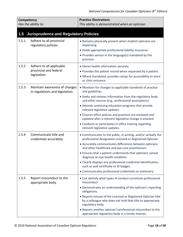<span id="page-17-0"></span>

| Competency<br>Has the ability to: |                                                                    | <b>Practice Illustrations</b><br>This ability is demonstrated when an optician:                                                                                                           |
|-----------------------------------|--------------------------------------------------------------------|-------------------------------------------------------------------------------------------------------------------------------------------------------------------------------------------|
| 1.5                               | <b>Jurisprudence and Regulatory Policies</b>                       |                                                                                                                                                                                           |
| 1.5.1                             | Adhere to all provincial<br>regulatory policies.                   | • Remains physically present when student opticians are<br>dispensing.                                                                                                                    |
|                                   |                                                                    | • Holds appropriate professional liability insurance.<br>• Provides service in the language(s) mandated by the<br>province.                                                               |
| 1.5.2                             | Adhere to all applicable<br>provincial and federal<br>legislation. | • Stores health information securely.<br>• Provides the patient record when requested by a patient.<br>• Where mandated, provides ramps for accessibility to store<br>or clinic entrance. |
| 1.5.3                             | Maintain awareness of changes<br>in regulations and legislation.   | • Monitors for changes to applicable standards of practice<br>and guidelines.                                                                                                             |
|                                   |                                                                    | • Seeks and reviews information from the regulatory body<br>and other sources (e.g., professional associations).                                                                          |
|                                   |                                                                    | • Attends continuing education programs that provide<br>relevant legislative updates.                                                                                                     |
|                                   |                                                                    | • Ensures office policies and practices are reviewed and<br>updated after a relevant legislative change is enacted.                                                                       |
|                                   |                                                                    | • Conducts or participates in office training regarding<br>relevant legislative updates.                                                                                                  |
| 1.5.4                             | Communicate title and<br>credentials accurately.                   | • Communicates to the public, in writing, and/or verbally the<br>professional designation Licensed or Registered Optician.                                                                |
|                                   |                                                                    | • Accurately communicates differences between opticians<br>and other healthcare and eye-care practitioners.                                                                               |
|                                   |                                                                    | • Ensures that a patient understands that opticians cannot<br>diagnose an eye health condition.                                                                                           |
|                                   |                                                                    | • Clearly displays any professional credential identification,<br>such as wall certificate or ID badges.                                                                                  |
|                                   |                                                                    | • Communicates professional credentials on stationery.                                                                                                                                    |
| 1.5.5                             | Report misconduct to the<br>appropriate body.                      | • Can identify what types of conduct constitute professional<br>misconduct.                                                                                                               |
|                                   |                                                                    | • Demonstrates an understanding of the optician's reporting<br>obligations.                                                                                                               |
|                                   |                                                                    | • Reports misuse of the Licensed or Registered Optician title<br>by a colleague who does not hold that title to appropriate<br>regulatory body.                                           |
|                                   |                                                                    | • Reports another optician's professional misconduct to the<br>appropriate regulatory body in a timely manner.                                                                            |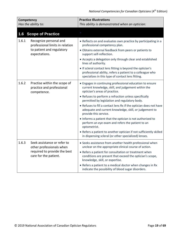<span id="page-18-0"></span>

| Competency<br>Has the ability to: |                                                                                                                  | <b>Practice Illustrations</b><br>This ability is demonstrated when an optician:                                                                                                                                                                                                                                                                                                                                                                                                                                                                                                                                                                                                   |
|-----------------------------------|------------------------------------------------------------------------------------------------------------------|-----------------------------------------------------------------------------------------------------------------------------------------------------------------------------------------------------------------------------------------------------------------------------------------------------------------------------------------------------------------------------------------------------------------------------------------------------------------------------------------------------------------------------------------------------------------------------------------------------------------------------------------------------------------------------------|
| 1.6                               | <b>Scope of Practice</b>                                                                                         |                                                                                                                                                                                                                                                                                                                                                                                                                                                                                                                                                                                                                                                                                   |
| 1.6.1                             | Recognize personal and<br>professional limits in relation<br>to patient and regulatory<br>expectations.          | • Reflects on and evaluates own practice by participating in a<br>professional competency plan.<br>• Obtains external feedback from peers or patients to<br>support self-reflection.<br>• Accepts a delegation only through clear and established<br>lines of authority.<br>• If scleral contact lens fitting is beyond the optician's<br>professional ability, refers a patient to a colleague who<br>specializes in this type of contact lens fitting.                                                                                                                                                                                                                          |
| 1.6.2                             | Practise within the scope of<br>practice and professional<br>competence.                                         | • Engages in continuing professional education to ensure<br>current knowledge, skill, and judgement within the<br>optician's areas of practice.<br>• Refuses to perform a refraction unless specifically<br>permitted by legislation and regulatory body.<br>• Refuses to fill a contact lens Rx if the optician does not have<br>adequate and current knowledge, skill, or judgement to<br>provide this service.<br>• Informs a patient that the optician is not authorized to<br>perform an eye exam and refers the patient to an<br>optometrist.<br>• Refers a patient to another optician if not sufficiently skilled<br>in dispensing scleral (or other specialized) lenses. |
| 1.6.3                             | Seek assistance or refer to<br>other professionals when<br>required to provide the best<br>care for the patient. | • Seeks assistance from another health professional when<br>unclear on the appropriate clinical course of action.<br>• Refers a patient for consultation or treatment when<br>conditions are present that exceed the optician's scope,<br>knowledge, skill, or expertise.<br>• Refers a patient to a medical doctor when changes in Rx<br>indicate the possibility of blood sugar disorders.                                                                                                                                                                                                                                                                                      |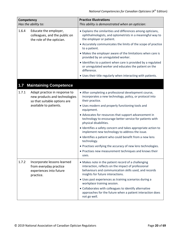<span id="page-19-0"></span>

| Competency<br>Has the ability to: |                                                                                                                          | <b>Practice Illustrations</b><br>This ability is demonstrated when an optician:                                                                                                                          |
|-----------------------------------|--------------------------------------------------------------------------------------------------------------------------|----------------------------------------------------------------------------------------------------------------------------------------------------------------------------------------------------------|
| 1.6.4                             | Educate the employer,<br>colleagues, and the public on<br>the role of the optician.                                      | • Explains the similarities and differences among opticians,<br>ophthalmologists, and optometrists in a meaningful way to<br>the employer or patient.                                                    |
|                                   |                                                                                                                          | • Accurately communicates the limits of the scope of practice<br>to a patient.                                                                                                                           |
|                                   |                                                                                                                          | • Makes the employer aware of the limitations when care is<br>provided by an unregulated worker.                                                                                                         |
|                                   |                                                                                                                          | • Identifies to a patient when care is provided by a regulated<br>or unregulated worker and educates the patient on the<br>difference.                                                                   |
|                                   |                                                                                                                          | . Uses their title regularly when interacting with patients.                                                                                                                                             |
| 1.7                               | <b>Maintaining Competence</b>                                                                                            |                                                                                                                                                                                                          |
| 1.7.1                             | Adapt practice in response to<br>new products and technologies<br>so that suitable options are<br>available to patients. | • After completing a professional development course,<br>incorporates a new technology, policy, or protocol into<br>their practice.                                                                      |
|                                   |                                                                                                                          | • Uses modern and properly functioning tools and<br>equipment.                                                                                                                                           |
|                                   |                                                                                                                          | • Advocates for resources that support advancement in<br>technology to encourage better service for patients with<br>physical disabilities.                                                              |
|                                   |                                                                                                                          | • Identifies a safety concern and takes appropriate action to<br>implement new technology to address the issue.                                                                                          |
|                                   |                                                                                                                          | · Identifies a patient who could benefit from a new lens<br>technology.                                                                                                                                  |
|                                   |                                                                                                                          | • Practises verifying the accuracy of new lens technologies.                                                                                                                                             |
|                                   |                                                                                                                          | • Practises new measurement techniques and knows their<br>uses.                                                                                                                                          |
| 1.7.2                             | Incorporate lessons learned<br>from everyday practice<br>experiences into future<br>practice.                            | • Makes note in the patient record of a challenging<br>interaction, reflects on the impact of professional<br>behaviours and communication skills used, and records<br>insights for future interactions. |
|                                   |                                                                                                                          | · Uses past experiences as training scenarios during a<br>workplace training session.                                                                                                                    |
|                                   |                                                                                                                          | • Collaborates with colleagues to identify alternative<br>approaches for the future when a patient interaction does<br>not go well.                                                                      |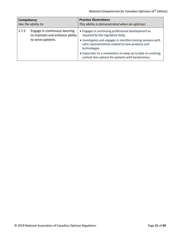| Competency          |                                                                                        | <b>Practice Illustrations</b>                                                                                                                                                                                                                                                                                                                        |
|---------------------|----------------------------------------------------------------------------------------|------------------------------------------------------------------------------------------------------------------------------------------------------------------------------------------------------------------------------------------------------------------------------------------------------------------------------------------------------|
| Has the ability to: |                                                                                        | This ability is demonstrated when an optician:                                                                                                                                                                                                                                                                                                       |
| 1.7.3               | Engage in continuous learning<br>to maintain and enhance ability<br>to serve patients. | • Engages in continuing professional development as<br>required by the regulatory body.<br>• Investigates and engages in monthly training sessions with<br>sales representatives related to new products and<br>technologies.<br>• Subscribes to e-newsletters to keep up to date on evolving<br>contact lens options for patients with keratoconus. |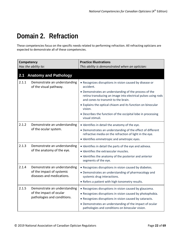### <span id="page-21-0"></span>**Domain 2. Refraction**

These competencies focus on the specific needs related to performing refraction. All refracting opticians are expected to demonstrate all of these competencies.

<span id="page-21-1"></span>

| Competency<br>Has the ability to: |                                                                                        | <b>Practice Illustrations</b><br>This ability is demonstrated when an optician:                                                                                                                                                                                                                                                                                                                    |
|-----------------------------------|----------------------------------------------------------------------------------------|----------------------------------------------------------------------------------------------------------------------------------------------------------------------------------------------------------------------------------------------------------------------------------------------------------------------------------------------------------------------------------------------------|
| 2.1                               | <b>Anatomy and Pathology</b>                                                           |                                                                                                                                                                                                                                                                                                                                                                                                    |
| 2.1.1                             | Demonstrate an understanding<br>of the visual pathway.                                 | • Recognizes disruptions in vision caused by disease or<br>accident.<br>• Demonstrates an understanding of the process of the<br>retina transducing an image into electrical pulses using rods<br>and cones to transmit to the brain.<br>• Explains the optical chiasm and its function on binocular<br>vision.<br>• Describes the function of the occipital lobe in processing<br>visual stimuli. |
| 2.1.2                             | Demonstrate an understanding<br>of the ocular system.                                  | . Identifies in detail the anatomy of the eye.<br>• Demonstrates an understanding of the effect of different<br>refractive media on the refraction of light in the eye.<br>· Identifies emmetropic and ametropic eyes.                                                                                                                                                                             |
| 2.1.3                             | Demonstrate an understanding<br>of the anatomy of the eye.                             | · Identifies in detail the parts of the eye and adnexa.<br>· Identifies the extraocular muscles.<br>• Identifies the anatomy of the posterior and anterior<br>segments of the eye.                                                                                                                                                                                                                 |
| 2.1.4                             | Demonstrate an understanding<br>of the impact of systemic<br>diseases and medications. | • Recognizes disruptions in vision caused by diabetes.<br>• Demonstrates an understanding of pharmacology and<br>systemic drug interactions.<br>• Refers a patient with high tonometry results.                                                                                                                                                                                                    |
| 2.1.5                             | Demonstrate an understanding<br>of the impact of ocular<br>pathologies and conditions. | • Recognizes disruptions in vision caused by glaucoma.<br>• Recognizes disruptions in vision caused by photophobia.<br>• Recognizes disruptions in vision caused by cataracts.<br>• Demonstrates an understanding of the impact of ocular<br>pathologies and conditions on binocular vision.                                                                                                       |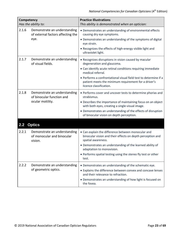<span id="page-22-0"></span>

| Competency<br>Has the ability to: |                                                                               | <b>Practice Illustrations</b><br>This ability is demonstrated when an optician:                                                                                                                                                                                                                                               |
|-----------------------------------|-------------------------------------------------------------------------------|-------------------------------------------------------------------------------------------------------------------------------------------------------------------------------------------------------------------------------------------------------------------------------------------------------------------------------|
| 2.1.6                             | Demonstrate an understanding<br>of external factors affecting the<br>eye.     | • Demonstrates an understanding of environmental effects<br>causing dry eye symptoms.<br>• Demonstrates an understanding of the symptoms of digital<br>eye strain.<br>. Recognizes the effects of high-energy visible light and<br>ultraviolet light.                                                                         |
| 2.1.7                             | Demonstrate an understanding<br>of visual fields.                             | • Recognizes disruptions in vision caused by macular<br>degeneration and glaucoma.<br>• Can identify acute retinal conditions requiring immediate<br>medical referral.<br>• Performs a confrontational visual field test to determine if a<br>patient meets the minimum requirement for a driver's<br>licence classification. |
| 2.1.8                             | Demonstrate an understanding<br>of binocular function and<br>ocular motility. | • Performs cover and uncover tests to determine phorias and<br>strabismus.<br>• Describes the importance of maintaining focus on an object<br>with both eyes, creating a single-visual image.<br>• Demonstrates an understanding of the effects of disruption<br>of binocular vision on depth perception.                     |
| 2.2                               | <b>Optics</b>                                                                 |                                                                                                                                                                                                                                                                                                                               |
| 2.2.1                             | Demonstrate an understanding<br>of monocular and binocular<br>vision.         | • Can explain the difference between monocular and<br>binocular vision and their effects on depth perception and<br>spatial awareness.<br>• Demonstrates an understanding of the learned ability of<br>adaptation to monovision.<br>• Performs spatial testing using the stereo fly test or other<br>test.                    |
| 2.2.2                             | Demonstrate an understanding<br>of geometric optics.                          | • Demonstrates an understanding of the schematic eye.<br>• Explains the difference between convex and concave lenses<br>and their relevance to refraction.<br>• Demonstrates an understanding of how light is focused on<br>the fovea.                                                                                        |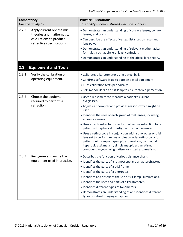<span id="page-23-0"></span>

| Competency<br>Has the ability to: |                                                              | <b>Practice Illustrations</b><br>This ability is demonstrated when an optician:                                                                                                                                                                                                               |
|-----------------------------------|--------------------------------------------------------------|-----------------------------------------------------------------------------------------------------------------------------------------------------------------------------------------------------------------------------------------------------------------------------------------------|
| 2.2.3                             | Apply current ophthalmic<br>theories and mathematical        | • Demonstrates an understanding of concave lenses, convex<br>lenses, and prism.                                                                                                                                                                                                               |
|                                   | calculations to produce<br>refractive specifications.        | • Can describe the effects of vertex distances on resultant<br>lens power.                                                                                                                                                                                                                    |
|                                   |                                                              | • Demonstrates an understanding of relevant mathematical<br>formulas, such as circle of least confusion.                                                                                                                                                                                      |
|                                   |                                                              | • Demonstrates an understanding of the afocal lens theory.                                                                                                                                                                                                                                    |
| 2.3                               | <b>Equipment and Tools</b>                                   |                                                                                                                                                                                                                                                                                               |
| 2.3.1                             | Verify the calibration of                                    | • Calibrates a keratometer using a steel ball.                                                                                                                                                                                                                                                |
|                                   | operating equipment.                                         | • Confirms software is up to date on digital equipment.                                                                                                                                                                                                                                       |
|                                   |                                                              | • Runs calibration tests periodically.                                                                                                                                                                                                                                                        |
|                                   |                                                              | • Sets monoculars on a slit-lamp to ensure stereo perception.                                                                                                                                                                                                                                 |
| 2.3.2                             | Choose the equipment<br>required to perform a<br>refraction. | • Uses a lensometer to measure a patient's current<br>eyeglasses.                                                                                                                                                                                                                             |
|                                   |                                                              | • Adjusts a phoropter and provides reasons why it might be<br>used.                                                                                                                                                                                                                           |
|                                   |                                                              | • Identifies the uses of each group of trial lenses, including<br>accessory lenses.                                                                                                                                                                                                           |
|                                   |                                                              | • Uses an autorefractor to perform objective refraction for a<br>patient with spherical or astigmatic refractive errors.                                                                                                                                                                      |
|                                   |                                                              | • Uses a retinoscope in conjunction with a phoropter or trial<br>lens set to perform minus or plus cylinder retinoscopy for<br>patients with simple hyperopic astigmatism, compound<br>hyperopic astigmatism, simple myopic astigmatism,<br>compound myopic astigmatism, or mixed astigmatism |
| 2.3.3                             | Recognize and name the                                       | • Describes the function of various distance charts.                                                                                                                                                                                                                                          |
|                                   | equipment used in practice.                                  | • Identifies the parts of a retinoscope and an autorefractor.                                                                                                                                                                                                                                 |
|                                   |                                                              | • Identifies the parts of a trial frame.                                                                                                                                                                                                                                                      |
|                                   |                                                              | • Identifies the parts of a phoropter.                                                                                                                                                                                                                                                        |
|                                   |                                                              | • Identifies and describes the use of slit-lamp illuminations.                                                                                                                                                                                                                                |
|                                   |                                                              | · Identifies the uses and parts of a keratometer.                                                                                                                                                                                                                                             |
|                                   |                                                              | · Identifies different types of tonometers.                                                                                                                                                                                                                                                   |
|                                   |                                                              | • Demonstrates an understanding of and identifies different<br>types of retinal imaging equipment.                                                                                                                                                                                            |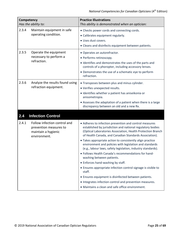<span id="page-24-0"></span>

| Competency | Has the ability to:                                                                           | <b>Practice Illustrations</b><br>This ability is demonstrated when an optician:                                                                                                                                                                                                                                                                                                                                                                                                                                                                                                                                                                                                                                                                                                                                  |
|------------|-----------------------------------------------------------------------------------------------|------------------------------------------------------------------------------------------------------------------------------------------------------------------------------------------------------------------------------------------------------------------------------------------------------------------------------------------------------------------------------------------------------------------------------------------------------------------------------------------------------------------------------------------------------------------------------------------------------------------------------------------------------------------------------------------------------------------------------------------------------------------------------------------------------------------|
| 2.3.4      | Maintain equipment in safe<br>operating condition.                                            | • Checks power cords and connecting cords.<br>• Calibrates equipment regularly.<br>· Uses dust covers.<br>• Cleans and disinfects equipment between patients.                                                                                                                                                                                                                                                                                                                                                                                                                                                                                                                                                                                                                                                    |
| 2.3.5      | Operate the equipment<br>necessary to perform a<br>refraction.                                | • Operates an autorefractor.<br>• Performs retinoscopy.<br>. Identifies and demonstrates the uses of the parts and<br>controls of a phoropter, including accessory lenses.<br>• Demonstrates the use of a schematic eye to perform<br>refraction.                                                                                                                                                                                                                                                                                                                                                                                                                                                                                                                                                                |
| 2.3.6      | Analyze the results found using<br>refraction equipment.                                      | • Transposes between plus and minus cylinder.<br>· Verifies unexpected results.<br>· Identifies whether a patient has aniseikonia or<br>anisometropia.<br>• Assesses the adaptation of a patient when there is a large<br>discrepancy between an old and a new Rx.                                                                                                                                                                                                                                                                                                                                                                                                                                                                                                                                               |
| 2.4        | <b>Infection Control</b>                                                                      |                                                                                                                                                                                                                                                                                                                                                                                                                                                                                                                                                                                                                                                                                                                                                                                                                  |
| 2.4.1      | Follow infection control and<br>prevention measures to<br>maintain a hygienic<br>environment. | • Adheres to infection prevention and control measures<br>established by jurisdiction and national regulatory bodies<br>(Optical Laboratories Association, Health Protection Branch<br>of Health Canada, and Canadian Standards Association).<br>• Takes appropriate action to consistently align practice<br>environment and policies with legislation and standards<br>(e.g., labour laws, safety legislation, industry standards).<br>• Follows Health Canada's recommendations for hand-<br>washing between patients.<br>• Enforces hand-washing by staff.<br>• Ensures appropriate infection control signage is visible to<br>staff.<br>• Ensures equipment is disinfected between patients.<br>• Integrates infection control and prevention measures.<br>• Maintains a clean and safe office environment. |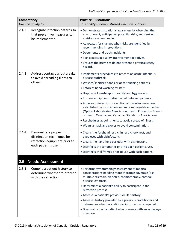<span id="page-25-0"></span>

| <b>Competency</b><br>Has the ability to: |                                                                                                           | <b>Practice Illustrations</b><br>This ability is demonstrated when an optician:                                                                                                                                                               |
|------------------------------------------|-----------------------------------------------------------------------------------------------------------|-----------------------------------------------------------------------------------------------------------------------------------------------------------------------------------------------------------------------------------------------|
| 2.4.2                                    | Recognize infection hazards so<br>that preventive measures can<br>be implemented.                         | • Demonstrates situational awareness by observing the<br>environment, anticipating potential risks, and seeking<br>assistance when needed.                                                                                                    |
|                                          |                                                                                                           | • Advocates for changes when risks are identified by<br>recommending interventions.                                                                                                                                                           |
|                                          |                                                                                                           | · Documents and tracks incidents.                                                                                                                                                                                                             |
|                                          |                                                                                                           | • Participates in quality improvement initiatives.                                                                                                                                                                                            |
|                                          |                                                                                                           | • Ensures the premises do not present a physical safety<br>hazard.                                                                                                                                                                            |
| 2.4.3                                    | Address contagious outbreaks<br>to avoid spreading illness to                                             | • Implements procedures to react to an acute infectious<br>disease outbreak.                                                                                                                                                                  |
|                                          | others.                                                                                                   | • Washes/sanitizes hands prior to touching patients.                                                                                                                                                                                          |
|                                          |                                                                                                           | • Enforces hand-washing by staff.                                                                                                                                                                                                             |
|                                          |                                                                                                           | · Disposes of waste appropriately and hygienically.                                                                                                                                                                                           |
|                                          |                                                                                                           | • Ensures equipment is disinfected between patients.                                                                                                                                                                                          |
|                                          |                                                                                                           | • Adheres to infection prevention and control measures<br>established by jurisdiction and national regulatory bodies<br>(Optical Laboratories Association, Health Protection Branch<br>of Health Canada, and Canadian Standards Association). |
|                                          |                                                                                                           | • Reschedules appointments to avoid spread of illness.                                                                                                                                                                                        |
|                                          |                                                                                                           | . Wears a mask and gloves to avoid contamination.                                                                                                                                                                                             |
| 2.4.4                                    | Demonstrate proper<br>disinfection techniques for<br>refraction equipment prior to<br>each patient's use. | • Cleans the forehead rest, chin rest, cheek rest, and<br>eyepieces with disinfectant.                                                                                                                                                        |
|                                          |                                                                                                           | • Cleans the hand-held occluder with disinfectant.                                                                                                                                                                                            |
|                                          |                                                                                                           | • Disinfects the tonometer prior to each patient's use.                                                                                                                                                                                       |
|                                          |                                                                                                           | · Disinfects trial frames prior to use with each patient.                                                                                                                                                                                     |
| 2.5                                      | <b>Needs Assessment</b>                                                                                   |                                                                                                                                                                                                                                               |
| 2.5.1                                    | Compile a patient history to<br>determine whether to proceed<br>with the refraction.                      | • Performs symptomology assessment of medical<br>considerations needing more thorough coverage (e.g.,<br>multiple sclerosis, diabetes, chemotherapy, corneal<br>disease, cataracts).                                                          |
|                                          |                                                                                                           | • Determines a patient's ability to participate in the<br>refraction process.                                                                                                                                                                 |
|                                          |                                                                                                           | • Assesses a patient's previous ocular history.                                                                                                                                                                                               |
|                                          |                                                                                                           | • Assesses history provided by a previous practitioner and<br>determines whether additional information is required.                                                                                                                          |
|                                          |                                                                                                           | • Does not refract a patient who presents with an active eye<br>infection.                                                                                                                                                                    |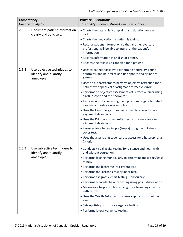| Competency<br>Has the ability to: |                                                                    | <b>Practice Illustrations</b><br>This ability is demonstrated when an optician:                                                   |
|-----------------------------------|--------------------------------------------------------------------|-----------------------------------------------------------------------------------------------------------------------------------|
| 2.5.2                             | Document patient information<br>clearly and concisely.             | • Charts the date, chief complaint, and duration for each<br>visit.                                                               |
|                                   |                                                                    | • Charts the medications a patient is taking.                                                                                     |
|                                   |                                                                    | • Records patient information so that another eye-care<br>professional will be able to interpret the patient's<br>information.    |
|                                   |                                                                    | • Records information in English or French.                                                                                       |
|                                   |                                                                    | • Records the follow-up care plan for a patient.                                                                                  |
| 2.5.3                             | Use objective techniques to<br>identify and quantify<br>ametropia. | • Uses streak retinoscopy to determine neutrality, refine<br>neutrality, and neutralize and find sphere and cylindrical<br>power. |
|                                   |                                                                    | • Uses an autorefractor to perform objective refraction for a<br>patient with spherical or astigmatic refractive errors.          |
|                                   |                                                                    | • Performs an objective assessments of refractive error using<br>a retinoscope and the phoropter.                                 |
|                                   |                                                                    | • Tests versions by assessing the 9 positions of gaze to detect<br>weakness of extraocular muscles.                               |
|                                   |                                                                    | • Uses the Hirschberg corneal reflex test to assess for eye<br>alignment deviations.                                              |
|                                   |                                                                    | . Uses the Krimsky corneal reflex test to measure for eye<br>alignment deviations.                                                |
|                                   |                                                                    | • Assesses for a heterotropia (tropia) using the unilateral<br>cover test.                                                        |
|                                   |                                                                    | • Uses the alternating cover test to assess for a heterophoria<br>(phoria).                                                       |
| 2.5.4                             | Use subjective techniques to<br>identify and quantify              | • Conducts visual acuity testing for distance and near, with<br>and without correction.                                           |
|                                   | ametropia.                                                         | • Performs fogging monocularly to determine most plus/least<br>minus.                                                             |
|                                   |                                                                    | • Performs the bichrome (red-green) test.                                                                                         |
|                                   |                                                                    | • Performs the Jackson cross cylinder test.                                                                                       |
|                                   |                                                                    | • Performs astigmatic chart testing monocularly.                                                                                  |
|                                   |                                                                    | • Performs binocular balance testing using prism dissociation.                                                                    |
|                                   |                                                                    | • Measures a tropia or phoria using the alternating cover test<br>with prisms.                                                    |
|                                   |                                                                    | • Uses the Worth 4-dot test to assess suppression of either<br>eye.                                                               |
|                                   |                                                                    | • Sets up Risley prisms for vergence testing.                                                                                     |
|                                   |                                                                    | • Performs lateral vergence testing.                                                                                              |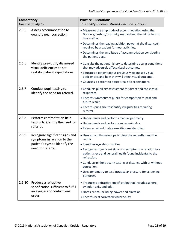| Competency<br>Has the ability to: |                                                                                                                        | <b>Practice Illustrations</b><br>This ability is demonstrated when an optician:                                                                                     |
|-----------------------------------|------------------------------------------------------------------------------------------------------------------------|---------------------------------------------------------------------------------------------------------------------------------------------------------------------|
| 2.5.5                             | Assess accommodation to<br>quantify near correction.                                                                   | • Measures the amplitude of accommodation using the<br>Donders/pushup/proximity method and the minus lens to<br>blur method.                                        |
|                                   |                                                                                                                        | • Determines the reading addition power at the distance(s)<br>required by a patient for near activities.<br>• Determines the amplitude of accommodation considering |
|                                   |                                                                                                                        | the patient's age.                                                                                                                                                  |
| 2.5.6                             | Identify previously diagnosed<br>visual deficiencies to set                                                            | • Consults the patient history to determine ocular conditions<br>that may adversely affect visual outcomes.                                                         |
|                                   | realistic patient expectations.                                                                                        | • Educates a patient about previously diagnosed visual<br>deficiencies and how they will affect visual outcome.                                                     |
|                                   |                                                                                                                        | • Counsels a patient to accept realistic expectations.                                                                                                              |
| 2.5.7                             | Conduct pupil testing to<br>identify the need for referral.                                                            | • Conducts pupillary assessment for direct and consensual<br>responses.                                                                                             |
|                                   |                                                                                                                        | • Records symmetry of pupils for comparison to past and<br>future result.                                                                                           |
|                                   |                                                                                                                        | • Records pupil size to identify irregularities requiring<br>referral.                                                                                              |
| 2.5.8                             | Perform confrontation field                                                                                            | • Understands and performs manual perimetry.                                                                                                                        |
|                                   | testing to identify the need for<br>referral.                                                                          | • Understands and performs auto-perimetry.                                                                                                                          |
|                                   |                                                                                                                        | • Refers a patient if abnormalities are identified.                                                                                                                 |
| 2.5.9                             | Recognize significant signs and<br>symptoms in relation to the<br>patient's eyes to identify the<br>need for referral. | • Uses an ophthalmoscope to view the red reflex and the<br>retina.                                                                                                  |
|                                   |                                                                                                                        | · Identifies eye abnormalities.                                                                                                                                     |
|                                   |                                                                                                                        | • Recognizes significant signs and symptoms in relation to a<br>patient's eye and general health found incidental to the<br>refraction.                             |
|                                   |                                                                                                                        | • Conducts pinhole acuity testing at distance with or without<br>correction.                                                                                        |
|                                   |                                                                                                                        | • Uses tonometry to test intraocular pressure for screening<br>purposes.                                                                                            |
| 2.5.10                            | Produce a refractive<br>specification sufficient to fulfill<br>an eyeglass or contact lens                             | • Produces a refractive specification that includes sphere,<br>cylinder, axis, and add.                                                                             |
|                                   |                                                                                                                        | • Notes prism, including power and direction.                                                                                                                       |
|                                   | order.                                                                                                                 | • Records best corrected visual acuity.                                                                                                                             |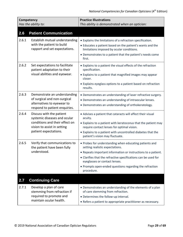<span id="page-28-1"></span><span id="page-28-0"></span>

| <b>Competency</b><br>Has the ability to: |                                                                                                                                                    | <b>Practice Illustrations</b><br>This ability is demonstrated when an optician:                                                                                                                                                                                                                                                        |
|------------------------------------------|----------------------------------------------------------------------------------------------------------------------------------------------------|----------------------------------------------------------------------------------------------------------------------------------------------------------------------------------------------------------------------------------------------------------------------------------------------------------------------------------------|
| 2.6                                      | <b>Patient Communication</b>                                                                                                                       |                                                                                                                                                                                                                                                                                                                                        |
| 2.6.1                                    | Establish mutual understanding<br>with the patient to build<br>rapport and set expectations.                                                       | • Explains the limitations of a refraction specification.<br>• Educates a patient based on the patient's wants and the<br>limitations imposed by ocular conditions.<br>• Demonstrates to a patient that the patient's needs come<br>first.                                                                                             |
| 2.6.2                                    | Set expectations to facilitate<br>patient adaptation to their<br>visual abilities and eyewear.                                                     | • Explains to a patient the visual effects of the refraction<br>specification.<br>• Explains to a patient that magnified images may appear<br>closer.<br>• Explains eyeglass options to a patient based on refraction<br>results.                                                                                                      |
| 2.6.3                                    | Demonstrate an understanding<br>of surgical and non-surgical<br>alternatives to eyewear to<br>respond to patient enquiries.                        | • Demonstrates an understanding of laser refractive surgery.<br>• Demonstrates an understanding of intraocular lenses.<br>• Demonstrates an understanding of orthokeratology.                                                                                                                                                          |
| 2.6.4                                    | Discuss with the patient<br>systemic diseases and ocular<br>conditions and their effect on<br>vision to assist in setting<br>patient expectations. | • Advises a patient that cataracts will affect their visual<br>acuity.<br>• Explains to a patient with keratoconus that the patient may<br>require contact lenses for optimal vision.<br>• Explains to a patient with uncontrolled diabetes that the<br>patient's vision may fluctuate.                                                |
| 2.6.5                                    | Verify that communications to<br>the patient have been fully<br>understood.                                                                        | • Probes for understanding when educating patients and<br>setting realistic expectations.<br>• Repeats important information or instructions to a patient.<br>• Clarifies that the refractive specifications can be used for<br>eyeglasses or contact lenses.<br>• Prompts open-ended questions regarding the refraction<br>procedure. |
| 2.7                                      | <b>Continuing Care</b>                                                                                                                             |                                                                                                                                                                                                                                                                                                                                        |
| 2.7.1                                    | Develop a plan of care<br>stemming from refraction if<br>required to promote and<br>maintain ocular health.                                        | • Demonstrates an understanding of the elements of a plan<br>of care stemming from refraction.<br>• Determines the follow-up interval.<br>• Refers a patient to appropriate practitioner as necessary.                                                                                                                                 |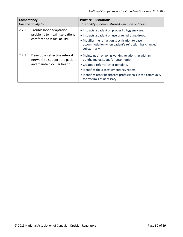| Competency<br>Has the ability to: |                                                                                                | <b>Practice Illustrations</b><br>This ability is demonstrated when an optician:                                                                                                                                                                                                 |
|-----------------------------------|------------------------------------------------------------------------------------------------|---------------------------------------------------------------------------------------------------------------------------------------------------------------------------------------------------------------------------------------------------------------------------------|
| 2.7.2                             | Troubleshoot adaptation<br>problems to maximize patient<br>comfort and visual acuity.          | • Instructs a patient on proper lid hygiene care.<br>• Instructs a patient on use of rehydrating drops.<br>• Modifies the refraction specification to ease<br>accommodation when patient's refraction has changed<br>substantially.                                             |
| 2.7.3                             | Develop an effective referral<br>network to support the patient<br>and maintain ocular health. | • Maintains an ongoing working relationship with an<br>ophthalmologist and/or optometrist.<br>• Creates a referral letter template.<br>• Identifies the closest emergency rooms.<br>• Identifies other healthcare professionals in the community<br>for referrals as necessary. |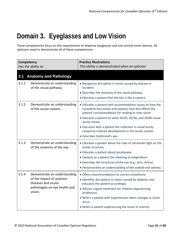# <span id="page-30-0"></span>**Domain 3. Eyeglasses and Low Vision**

These competencies focus on the requirements to dispense eyeglasses and sub-normal vision devices. All opticians need to demonstrate all of these competencies.

<span id="page-30-1"></span>

| Competency<br>Has the ability to: |                                                                                                                              | <b>Practice Illustrations</b><br>This ability is demonstrated when an optician:                                                                                                                                                                                                                                                                                                                                    |
|-----------------------------------|------------------------------------------------------------------------------------------------------------------------------|--------------------------------------------------------------------------------------------------------------------------------------------------------------------------------------------------------------------------------------------------------------------------------------------------------------------------------------------------------------------------------------------------------------------|
| 3.1                               | <b>Anatomy and Pathology</b>                                                                                                 |                                                                                                                                                                                                                                                                                                                                                                                                                    |
| 3.1.1                             | Demonstrate an understanding<br>of the visual pathway.                                                                       | • Recognizes disruption in vision caused by disease or<br>accident.<br>• Describes the anatomy of the visual pathway.<br>• Educates a patient that the eye is like a camera.                                                                                                                                                                                                                                       |
| 3.1.2                             | Demonstrate an understanding<br>of the ocular system.                                                                        | • Educates a patient with accommodation issues on how the<br>crystalline lens works and explains how this affects the<br>patient's accommodation for reading or near vision.<br>• Educates a patient on what 20/20, 20/30, and 20/80 visual<br>acuity means.<br>• Discusses with a patient the reduction in visual acuity<br>caused by cataract development in the ocular system.<br>• Describes Gullstrand's eye. |
| 3.1.3                             | Demonstrate an understanding<br>of the anatomy of the eye.                                                                   | • Educates a patient about the risks of ultraviolet light on the<br>ocular structure.<br>· Educates a patient about presbyopia.<br>• Explains to a patient the meaning of astigmatism.<br>• Describes the structures of the eye (e.g., lens, retina).<br>• Demonstrates an understanding of the eyeball and adnexa.                                                                                                |
| 3.1.4                             | Demonstrate an understanding<br>of the impact of systemic<br>diseases and ocular<br>pathologies on eye health and<br>vision. | • Offers recommendations to correct aniseikonia.<br>· Identifies disruptions in vision caused by diabetes and<br>educates the patient accordingly.<br>• Advises urgent treatment for children experiencing<br>strabismus.<br>• Refers a patient with hypertension when changes in vision<br>occur.<br>• Refers a patient experiencing the onset of scleritis.                                                      |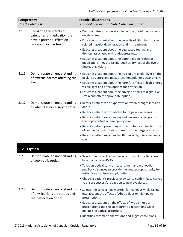<span id="page-31-0"></span>

| Competency<br>Has the ability to: |                                                                                                                      | <b>Practice Illustrations</b><br>This ability is demonstrated when an optician:                                                                                                                                                                                                                                                                                                                                                                   |
|-----------------------------------|----------------------------------------------------------------------------------------------------------------------|---------------------------------------------------------------------------------------------------------------------------------------------------------------------------------------------------------------------------------------------------------------------------------------------------------------------------------------------------------------------------------------------------------------------------------------------------|
| 3.1.5                             | Recognize the effects of<br>categories of medication that<br>have a potential effect on<br>vision and ocular health. | • Demonstrates an understanding of the use of medications<br>on glaucoma.<br>• Educates a patient about the benefits of vitamins for age-<br>related macular degeneration and its treatment.<br>• Educates a patient about the decreased tearing and<br>dryness associated with antidepressants.<br>• Educates a patient about the potential side effects of<br>medications they are taking, such as dryness of the eye or<br>fluctuating vision. |
| 3.1.6                             | Demonstrate an understanding<br>of external factors affecting the<br>eye.                                            | • Educates a patient about the risks of ultraviolet light on the<br>ocular structure and makes recommendations accordingly.<br>• Educates a patient about the harmful effects of high-energy<br>visible light and offers options for protection.<br>• Educates a patient about the adverse effects of digital eye<br>strain and offers appropriate options.                                                                                       |
| 3.1.7                             | Demonstrate an understanding<br>of when it is necessary to refer.                                                    | • Refers a patient with hypertension when changes in vision<br>occur.<br>• Refers a patient with diabetes for regular eye exams.<br>• Refers a patient experiencing sudden vision changes to<br>their optometrist or emergency room.<br>• Refers a patient presenting with symptoms similar to those<br>of conjunctivitis to their optometrist or emergency room.<br>• Refers a patient experiencing flashes of light to emergency<br>room.       |
|                                   | Optics                                                                                                               |                                                                                                                                                                                                                                                                                                                                                                                                                                                   |
| 3.2.1<br>3.2.2                    | Demonstrate an understanding<br>of geometric optics.<br>Demonstrate an understanding                                 | • Selects the correct refractive index to minimize thickness<br>based on a patient's Rx.<br>• Takes an optical centre measurement and monocular<br>pupillary distances to provide the greatest opportunity for<br>fusion for an anisometropic patient.<br>• Checks a patient's previous eyewear to confirm base curves<br>to ensure successful adaption to new eyeglasses.<br>• Selects the correct lens material for Rx needs while taking       |
|                                   | of physical lens properties and<br>their effects on optics.                                                          | into account the effects of Abbe values on high-power<br>prescriptions.<br>• Educates a patient on the effects of wrap on optical<br>prescriptions and sets appropriate expectations while<br>minimizing optical distortions.<br>• Identifies chromatic aberrations and suggests solutions.                                                                                                                                                       |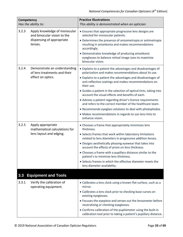<span id="page-32-0"></span>

| Competency<br>Has the ability to: |                                                                                                     | <b>Practice Illustrations</b><br>This ability is demonstrated when an optician:                                                                                                                                                                                                                                                                                                                                                                                                                                                                                                                                                                           |
|-----------------------------------|-----------------------------------------------------------------------------------------------------|-----------------------------------------------------------------------------------------------------------------------------------------------------------------------------------------------------------------------------------------------------------------------------------------------------------------------------------------------------------------------------------------------------------------------------------------------------------------------------------------------------------------------------------------------------------------------------------------------------------------------------------------------------------|
| 3.2.3                             | Apply knowledge of monocular<br>and binocular vision to the<br>dispensing of appropriate<br>lenses. | • Ensures that appropriate progressive lens designs are<br>selected for monocular patients.<br>• Determines the presence of anisometropia or antimetropia<br>resulting in aniseikonia and makes recommendations<br>accordingly.<br>• Demonstrates knowledge of producing aniseikonic<br>eyeglasses to balance retinal image sizes to maximize<br>binocular vision.                                                                                                                                                                                                                                                                                        |
| 3.2.4                             | Demonstrate an understanding<br>of lens treatments and their<br>effect on optics.                   | • Explains to a patient the advantages and disadvantages of<br>polarization and makes recommendations about its use.<br>• Explains to a patient the advantages and disadvantages of<br>anti-reflective coatings and makes recommendations on<br>their use.<br>• Guides a patient in the selection of optical tints, taking into<br>account the visual effects and benefits of each.<br>• Advises a patient regarding driver's licence requirements<br>and refers to the correct member of the healthcare team.<br>• Recommends eyeglass solutions to deal with photophobia.<br>· Makes recommendations in regards to sun lens tints to<br>enhance vision. |
| 3.2.5                             | Apply appropriate<br>mathematical calculations for<br>lens layout and edging.                       | • Chooses a frame that appropriately minimizes lens<br>thickness.<br>• Selects frames that work within laboratory limitations<br>related to lens diameters in progressive addition lenses.<br>• Designs aesthetically pleasing eyewear that takes into<br>account the effects of prism on lens thickness.<br>• Chooses a frame with a pupillary distance similar to the<br>patient's to minimize lens thickness.<br>• Selects frames in which the effective diameter meets the<br>lens diameter availability.                                                                                                                                             |
| 3.3                               | <b>Equipment and Tools</b>                                                                          |                                                                                                                                                                                                                                                                                                                                                                                                                                                                                                                                                                                                                                                           |
| 3.3.1                             | Verify the calibration of<br>operating equipment.                                                   | • Calibrates a lens clock using a known flat surface, such as a<br>mirror.<br>• Calibrates a lens clock prior to checking base curves on<br>existing eyeglasses.<br>• Focuses the eyepiece and zeroes out the lensometer before<br>neutralizing or checking eyeglasses.<br>• Confirms calibration of the pupilometer using the built-in<br>calibration tool prior to taking a patient's pupillary distance.                                                                                                                                                                                                                                               |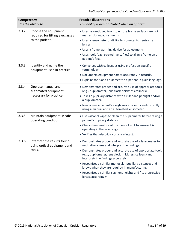| Competency<br>Has the ability to: |                                                                      | <b>Practice Illustrations</b><br>This ability is demonstrated when an optician:                                                                               |
|-----------------------------------|----------------------------------------------------------------------|---------------------------------------------------------------------------------------------------------------------------------------------------------------|
| 3.3.2                             | Choose the equipment<br>required for fitting eyeglasses              | • Uses nylon-tipped tools to ensure frame surfaces are not<br>marred during adjustments.                                                                      |
|                                   | to the patient.                                                      | • Uses a lensometer or digital lensometer to neutralize<br>lenses.                                                                                            |
|                                   |                                                                      | • Uses a frame-warming device for adjustments.                                                                                                                |
|                                   |                                                                      | • Uses tools (e.g., screwdrivers, files) to align a frame on a<br>patient's face.                                                                             |
| 3.3.3                             | Identify and name the<br>equipment used in practice.                 | • Converses with colleagues using profession-specific<br>terminology.                                                                                         |
|                                   |                                                                      | • Documents equipment names accurately in records.                                                                                                            |
|                                   |                                                                      | • Explains tools and equipment to a patient in plain language.                                                                                                |
| 3.3.4                             | Operate manual and<br>automated equipment                            | • Demonstrates proper and accurate use of appropriate tools<br>(e.g., pupilometer, lens clock, thickness calipers).                                           |
|                                   | necessary for practice.                                              | • Takes a pupillary distance with a ruler and penlight and/or<br>a pupilometer.                                                                               |
|                                   |                                                                      | • Neutralizes a patient's eyeglasses efficiently and correctly<br>using a manual and an automated lensometer.                                                 |
| 3.3.5                             | Maintain equipment in safe<br>operating condition.                   | • Uses alcohol wipes to clean the pupilometer before taking a<br>patient's pupillary distance.                                                                |
|                                   |                                                                      | • Checks temperature of the dye-pot unit to ensure it is<br>operating in the safe range.                                                                      |
|                                   |                                                                      | . Verifies that electrical cords are intact.                                                                                                                  |
| 3.3.6                             | Interpret the results found<br>using optical equipment and<br>tools. | • Demonstrates proper and accurate use of a lensometer to<br>neutralize a lens and interpret the findings.                                                    |
|                                   |                                                                      | • Demonstrates proper and accurate use of appropriate tools<br>(e.g., pupilometer, lens clock, thickness calipers) and<br>interprets the findings accurately. |
|                                   |                                                                      | • Recognizes dissimilar monocular pupillary distances and<br>knows when they are required in manufacturing.                                                   |
|                                   |                                                                      | • Recognizes dissimilar segment heights and fits progressive<br>lenses accordingly.                                                                           |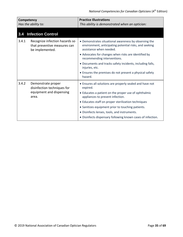<span id="page-34-0"></span>

| Competency<br>Has the ability to: |                                                                                   | <b>Practice Illustrations</b><br>This ability is demonstrated when an optician:                                                            |
|-----------------------------------|-----------------------------------------------------------------------------------|--------------------------------------------------------------------------------------------------------------------------------------------|
| 3.4                               | <b>Infection Control</b>                                                          |                                                                                                                                            |
| 3.4.1                             | Recognize infection hazards so<br>that preventive measures can<br>be implemented. | • Demonstrates situational awareness by observing the<br>environment, anticipating potential risks, and seeking<br>assistance when needed. |
|                                   |                                                                                   | • Advocates for changes when risks are identified by<br>recommending interventions.                                                        |
|                                   |                                                                                   | • Documents and tracks safety incidents, including falls,<br>injuries, etc.                                                                |
|                                   |                                                                                   | • Ensures the premises do not present a physical safety<br>hazard.                                                                         |
| 3.4.2                             | Demonstrate proper<br>disinfection techniques for                                 | • Ensures all solutions are properly sealed and have not<br>expired.                                                                       |
|                                   | equipment and dispensing<br>area.                                                 | • Educates a patient on the proper use of ophthalmic<br>appliances to prevent infection.                                                   |
|                                   |                                                                                   | • Educates staff on proper sterilization techniques                                                                                        |
|                                   |                                                                                   | • Sanitizes equipment prior to touching patients.                                                                                          |
|                                   |                                                                                   | • Disinfects lenses, tools, and instruments.                                                                                               |
|                                   |                                                                                   | • Disinfects dispensary following known cases of infection.                                                                                |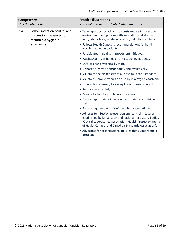| Competency<br>Has the ability to: |                                                                                               | <b>Practice Illustrations</b><br>This ability is demonstrated when an optician:                                                                                                                                                                                                                                                 |
|-----------------------------------|-----------------------------------------------------------------------------------------------|---------------------------------------------------------------------------------------------------------------------------------------------------------------------------------------------------------------------------------------------------------------------------------------------------------------------------------|
| 3.4.3                             | Follow infection control and<br>prevention measures to<br>maintain a hygienic<br>environment. | • Takes appropriate actions to consistently align practice<br>environment and policies with legislation and standards<br>(e.g., labour laws, safety legislation, industry standards).<br>. Follows Health Canada's recommendations for hand-<br>washing between patients.<br>• Participates in quality improvement initiatives. |
|                                   |                                                                                               | . Washes/sanitizes hands prior to touching patients.                                                                                                                                                                                                                                                                            |
|                                   |                                                                                               | • Enforces hand-washing by staff.                                                                                                                                                                                                                                                                                               |
|                                   |                                                                                               | • Disposes of waste appropriately and hygienically.                                                                                                                                                                                                                                                                             |
|                                   |                                                                                               | • Maintains the dispensary to a "hospital clean" standard.                                                                                                                                                                                                                                                                      |
|                                   |                                                                                               | • Maintains sample frames on display in a hygienic fashion.                                                                                                                                                                                                                                                                     |
|                                   |                                                                                               | • Disinfects dispensary following known cases of infection.                                                                                                                                                                                                                                                                     |
|                                   |                                                                                               | • Removes waste daily.                                                                                                                                                                                                                                                                                                          |
|                                   |                                                                                               | • Does not allow food in laboratory areas.                                                                                                                                                                                                                                                                                      |
|                                   |                                                                                               | • Ensures appropriate infection control signage is visible to<br>staff.                                                                                                                                                                                                                                                         |
|                                   |                                                                                               | • Ensures equipment is disinfected between patients.                                                                                                                                                                                                                                                                            |
|                                   |                                                                                               | • Adheres to infection prevention and control measures<br>established by jurisdiction and national regulatory bodies<br>(Optical Laboratories Association, Health Protection Branch<br>of Health Canada, and Canadian Standards Association).                                                                                   |
|                                   |                                                                                               | • Advocates for organizational policies that support public<br>protection.                                                                                                                                                                                                                                                      |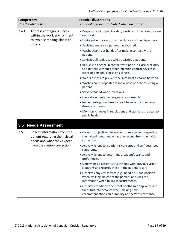<span id="page-36-0"></span>

| Competency<br>Has the ability to:                                                                                                      | <b>Practice Illustrations</b><br>This ability is demonstrated when an optician:                                                                                                                                                                                                                                                                                                                                                                                                                                                                                                                                                                                                                                                                                                                                                                                                           |
|----------------------------------------------------------------------------------------------------------------------------------------|-------------------------------------------------------------------------------------------------------------------------------------------------------------------------------------------------------------------------------------------------------------------------------------------------------------------------------------------------------------------------------------------------------------------------------------------------------------------------------------------------------------------------------------------------------------------------------------------------------------------------------------------------------------------------------------------------------------------------------------------------------------------------------------------------------------------------------------------------------------------------------------------|
| 3.4.4<br>Address contagious illness<br>within the work environment<br>to avoid spreading illness to<br>others.                         | • Keeps abreast of public safety alerts and infectious disease<br>outbreaks.<br>• Limits patient access to a specific area of the dispensary.<br>• Sanitizes any area a patient has touched.<br>• Washes/sanitizes hands after making contact with a<br>patient.<br>• Sanitizes all tools used while assisting a patient.<br>• Refuses to engage in contact with or be in close proximity<br>to a patient without proper infection control devices in<br>cases of personal illness or sickness.<br>. Wears a mask to prevent the spread of airborne bacteria.<br>• Washes hands repeatedly and always prior to touching a<br>patient.<br>• Stays secluded when infectious.<br>. Has a documented emergency response plan.<br>• Implements procedures to react to an acute infectious<br>disease outbreak.<br>• Monitors changes in regulations and standards related to<br>public health. |
| 3.5<br><b>Needs Assessment</b>                                                                                                         |                                                                                                                                                                                                                                                                                                                                                                                                                                                                                                                                                                                                                                                                                                                                                                                                                                                                                           |
| 3.5.1<br>Collect information from the<br>patient regarding their visual<br>needs and what they expect<br>from their vision correction. | • Collects subjective information from a patient regarding<br>their visual needs and what they expect from their vision<br>correction.<br>• Actively listens to a patient's concerns and self-described<br>symptoms.<br>• Actively listens to determine a patient's wants and<br>preferences.<br>• Determines a patient's frustrations with previous vision<br>solutions and records these in the patient record.<br>• Observes physical factors (e.g., head tilt, head position<br>when walking, height of the person) and uses this<br>information when taking measurements.<br>• Observes condition of current ophthalmic appliance and<br>takes this into account when making new<br>recommendations on durability and scratch resistance.                                                                                                                                            |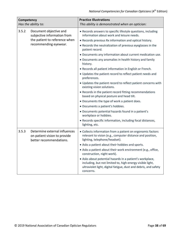| Competency<br>Has the ability to:                              |                                                                                                           | <b>Practice Illustrations</b><br>This ability is demonstrated when an optician:                                                                                                                       |
|----------------------------------------------------------------|-----------------------------------------------------------------------------------------------------------|-------------------------------------------------------------------------------------------------------------------------------------------------------------------------------------------------------|
| 3.5.2<br>Document objective and<br>subjective information from | • Records answers to specific lifestyle questions, including<br>information about work and leisure needs. |                                                                                                                                                                                                       |
|                                                                | the patient to reference when                                                                             | • Records previous Rx information and optical history.                                                                                                                                                |
|                                                                | recommending eyewear.                                                                                     | • Records the neutralization of previous eyeglasses in the<br>patient record.                                                                                                                         |
|                                                                |                                                                                                           | • Documents any information about current medication use.                                                                                                                                             |
|                                                                | • Documents any anomalies in health history and family<br>history.                                        |                                                                                                                                                                                                       |
|                                                                |                                                                                                           | • Records all patient information in English or French.                                                                                                                                               |
|                                                                | • Updates the patient record to reflect patient needs and<br>preferences.                                 |                                                                                                                                                                                                       |
|                                                                | . Updates the patient record to reflect patient concerns with<br>existing vision solutions.               |                                                                                                                                                                                                       |
|                                                                |                                                                                                           | • Records in the patient record fitting recommendations<br>based on physical posture and head tilt.                                                                                                   |
|                                                                |                                                                                                           | • Documents the type of work a patient does.                                                                                                                                                          |
|                                                                |                                                                                                           | • Documents a patient's hobbies.                                                                                                                                                                      |
|                                                                |                                                                                                           | · Documents potential hazards found in a patient's<br>workplace or hobbies.                                                                                                                           |
|                                                                |                                                                                                           | • Records specific information, including focal distances,<br>lighting, etc.                                                                                                                          |
| 3.5.3                                                          | Determine external influences<br>on patient vision to provide<br>better recommendations.                  | • Collects information from a patient on ergonomic factors<br>relevant to vision (e.g., computer distance and position,<br>lighting, telephone/headset).                                              |
|                                                                |                                                                                                           | • Asks a patient about their hobbies and sports.                                                                                                                                                      |
|                                                                |                                                                                                           | • Asks a patient about their work environment (e.g., office,<br>construction, night work).                                                                                                            |
|                                                                |                                                                                                           | • Asks about potential hazards in a patient's workplace,<br>including, but not limited to, high-energy visible light,<br>ultraviolet light, digital fatigue, dust and debris, and safety<br>concerns. |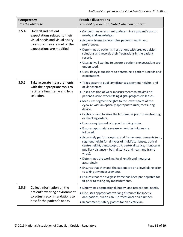| Competency<br>Has the ability to: |                                                                                                                                                      | <b>Practice Illustrations</b><br>This ability is demonstrated when an optician:                                                                                                                                                                                                                                                                                                                                                                                                                                                                                                                                                                                                                                                                                                                                                                                                                                                                                                                                                                                                         |
|-----------------------------------|------------------------------------------------------------------------------------------------------------------------------------------------------|-----------------------------------------------------------------------------------------------------------------------------------------------------------------------------------------------------------------------------------------------------------------------------------------------------------------------------------------------------------------------------------------------------------------------------------------------------------------------------------------------------------------------------------------------------------------------------------------------------------------------------------------------------------------------------------------------------------------------------------------------------------------------------------------------------------------------------------------------------------------------------------------------------------------------------------------------------------------------------------------------------------------------------------------------------------------------------------------|
| 3.5.4                             | Understand patient<br>expectations related to their<br>visual needs and visual acuity<br>to ensure they are met or the<br>expectations are modified. | • Conducts an assessment to determine a patient's wants,<br>needs, and knowledge.<br>• Actively listens to determine patient's wants and<br>preferences.<br>• Determines a patient's frustrations with previous vision<br>solutions and records their frustrations in the patient<br>record.<br>• Uses active listening to ensure a patient's expectations are<br>understood.<br>• Uses lifestyle questions to determine a patient's needs and<br>expectations.                                                                                                                                                                                                                                                                                                                                                                                                                                                                                                                                                                                                                         |
| 3.5.5                             | Take accurate measurements<br>with the appropriate tools to<br>facilitate final frame and lens<br>selection.                                         | • Takes accurate pupillary distances, segment heights, and<br>ocular centres.<br>• Takes position of wear measurements to maximize a<br>patient's vision when fitting digital progressive lenses.<br>• Measures segment heights to the lowest point of the<br>eyewire with an optically appropriate ruler/measuring<br>device.<br>• Calibrates and focuses the lensometer prior to neutralizing<br>or checking orders.<br>• Ensures equipment is in good working order.<br>• Ensures appropriate measurement techniques are<br>followed.<br>• Accurately performs optical and frame measurements (e.g.,<br>segment height for all types of multifocal lenses, optical<br>centre height, pantoscopic tilt, vertex distance, monocular<br>pupillary distance - both distance and near, and frame<br>wrap).<br>• Determines the working focal length and measures<br>accordingly.<br>• Ensures that they and the patient are on a level plane prior<br>to taking any measurements.<br>• Ensures that the eyeglass frame has been pre-adjusted for<br>fit prior to taking any measurements. |
| 3.5.6                             | Collect information on the<br>patient's wearing environment<br>to adjust recommendations to<br>best fit the patient's needs.                         | • Determines occupational, hobby, and recreational needs.<br>• Discusses appropriate working distances for specific<br>occupations, such as an IT professional or a plumber.<br>• Recommends safety glasses for an electrician.                                                                                                                                                                                                                                                                                                                                                                                                                                                                                                                                                                                                                                                                                                                                                                                                                                                         |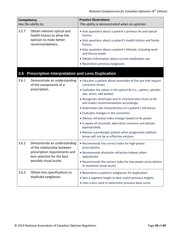<span id="page-39-0"></span>

| Competency<br>Has the ability to: |                                                                                                                                                        | <b>Practice Illustrations</b><br>This ability is demonstrated when an optician:                                                                                                                                                                                                                                                                                                                                                                                                                                                                                                                                                                    |
|-----------------------------------|--------------------------------------------------------------------------------------------------------------------------------------------------------|----------------------------------------------------------------------------------------------------------------------------------------------------------------------------------------------------------------------------------------------------------------------------------------------------------------------------------------------------------------------------------------------------------------------------------------------------------------------------------------------------------------------------------------------------------------------------------------------------------------------------------------------------|
| 3.5.7                             | Obtain relevant optical and<br>health history to allow the<br>optician to make better<br>recommendations.                                              | • Asks questions about a patient's previous Rx and optical<br>history.<br>• Asks questions about a patient's health history and family<br>history.<br>• Asks questions about a patient's lifestyle, including work<br>and leisure needs.<br>• Obtains information about current medication use.<br>• Neutralizes previous eyeglasses.                                                                                                                                                                                                                                                                                                              |
| 3.6                               | <b>Prescription Interpretation and Lens Duplication</b>                                                                                                |                                                                                                                                                                                                                                                                                                                                                                                                                                                                                                                                                                                                                                                    |
| 3.6.1                             | Demonstrate an understanding<br>of the components of a<br>prescription.                                                                                | • Educates a patient about anomalies of the eye that require<br>corrective lenses.<br>• Evaluates the values in the optical Rx (i.e., sphere, cylinder,<br>axis, prism, add power).<br>• Recognizes ametropia and its characteristics from an Rx<br>and makes recommendations accordingly.<br>• Determines the characteristics of a patient's old lenses.<br>• Evaluates changes in the correction.<br>• Advises refractive index changes based on Rx power.<br>• Is aware of chromatic aberration concerns and advises<br>appropriately.<br>• Advises a presbyopic patient when progressive addition<br>lenses will not be an effective solution. |
| 3.6.2                             | Demonstrate an understanding<br>of the relationship between<br>prescription requirements and<br>lens selection for the best<br>possible visual acuity. | • Recommends the correct index for high-power<br>prescriptions.<br>• Recommends dissimilar refractive indexes when<br>appropriate.<br>• Recommends the correct index for low-power prescriptions<br>to maximize visual acuity.                                                                                                                                                                                                                                                                                                                                                                                                                     |
| 3.6.3                             | Obtain lens specifications to<br>duplicate eyeglasses.                                                                                                 | • Neutralizes a patient's eyeglasses for duplication.<br>• Sets a segment height to best match previous heights.<br>. Uses a lens clock to determine previous base curve.                                                                                                                                                                                                                                                                                                                                                                                                                                                                          |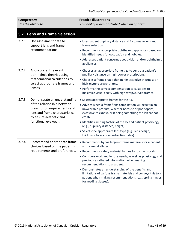<span id="page-40-0"></span>

| Competency<br>Has the ability to: |                                                                                                                                                                                  | <b>Practice Illustrations</b><br>This ability is demonstrated when an optician:                                                                                                                                                                                                                                                                                                                                                                                                                             |
|-----------------------------------|----------------------------------------------------------------------------------------------------------------------------------------------------------------------------------|-------------------------------------------------------------------------------------------------------------------------------------------------------------------------------------------------------------------------------------------------------------------------------------------------------------------------------------------------------------------------------------------------------------------------------------------------------------------------------------------------------------|
| 3.7                               | <b>Lens and Frame Selection</b>                                                                                                                                                  |                                                                                                                                                                                                                                                                                                                                                                                                                                                                                                             |
| 3.7.1                             | Use assessment data to<br>support lens and frame<br>recommendations.                                                                                                             | . Uses patient pupillary distance and Rx to make lens and<br>frame selection.<br>• Recommends appropriate ophthalmic appliances based on<br>identified needs for occupation and hobbies.<br>• Addresses patient concerns about vision and/or ophthalmic<br>appliances.                                                                                                                                                                                                                                      |
| 3.7.2                             | Apply current relevant<br>ophthalmic theories using<br>mathematical calculations to<br>select appropriate frames and<br>lenses.                                                  | • Chooses an appropriate frame size to centre a patient's<br>pupillary distance on high-power prescriptions.<br>• Chooses a frame shape that minimizes edge thickness on<br>high-myopic prescriptions.<br>• Performs the correct compensation calculations to<br>maximize visual acuity with high-wrap/curved frames.                                                                                                                                                                                       |
| 3.7.3                             | Demonstrate an understanding<br>of the relationship between<br>prescription requirements and<br>lens and frame characteristics<br>to ensure aesthetic and<br>functional eyewear. | • Selects appropriate frames for the Rx.<br>• Advises when a frame/lens combination will result in an<br>unwearable product, whether because of poor optics,<br>excessive thickness, or it being something the lab cannot<br>create.<br>• Identifies limiting factors of the Rx and patient physiology<br>(e.g., pupillary distance, height).<br>• Selects the appropriate lens type (e.g., lens design,<br>thickness, base curve, refractive index).                                                       |
| 3.7.4                             | Recommend appropriate frame<br>choices based on the patient's<br>requirements and preferences.                                                                                   | • Recommends hypoallergenic frame materials for a patient<br>with a metal allergy.<br>• Recommends safety material frames for contact sports.<br>• Considers work and leisure needs, as well as physiology and<br>previously gathered information, when making<br>recommendations to a patient.<br>• Demonstrates an understanding of the benefits and<br>limitations of various frame materials and conveys this to a<br>patient when making recommendations (e.g., spring hinges<br>for reading glasses). |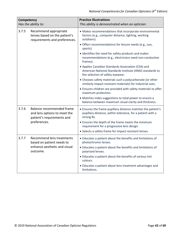| Competency<br>Has the ability to:                                                                |                                                                                                                                          | <b>Practice Illustrations</b><br>This ability is demonstrated when an optician:                                                                     |
|--------------------------------------------------------------------------------------------------|------------------------------------------------------------------------------------------------------------------------------------------|-----------------------------------------------------------------------------------------------------------------------------------------------------|
| 3.7.5                                                                                            | Recommend appropriate<br>lenses based on the patient's<br>requirements and preferences.                                                  | • Makes recommendations that incorporate environmental<br>factors (e.g., computer distance, lighting, working<br>outdoors).                         |
|                                                                                                  |                                                                                                                                          | · Offers recommendations for leisure needs (e.g., sun,<br>sports).                                                                                  |
|                                                                                                  |                                                                                                                                          | • Identifies the need for safety products and makes<br>recommendations (e.g., electricians need non-conductive<br>frames).                          |
|                                                                                                  |                                                                                                                                          | • Applies Canadian Standards Association (CSA) and<br>American National Standards Institute (ANSI) standards to<br>the selection of safety eyewear. |
|                                                                                                  |                                                                                                                                          | • Chooses safety materials such a polycarbonate (or other<br>similarly impact-resistant materials) for industrial uses.                             |
|                                                                                                  |                                                                                                                                          | • Ensures children are provided with safety materials to offer<br>maximum protection.                                                               |
|                                                                                                  |                                                                                                                                          | • Matches index suggestions to total power to ensure a<br>balance between maximum visual clarity and thickness.                                     |
| 3.7.6<br>Balance recommended frame<br>and lens options to meet the<br>patient's requirements and | • Ensures the frame pupillary distance matches the patient's<br>pupillary distance, within tolerance, for a patient with a<br>strong Rx. |                                                                                                                                                     |
|                                                                                                  | preferences.                                                                                                                             | • Ensures the depth of the frame meets the minimum<br>requirement for a progressive lens design.                                                    |
|                                                                                                  |                                                                                                                                          | • Selects a safety frame for impact-resistant lenses.                                                                                               |
| 3.7.7                                                                                            | Recommend lens treatments<br>based on patient needs to                                                                                   | • Educates a patient about the benefits and limitations of<br>photochromic lenses.                                                                  |
|                                                                                                  | enhance aesthetic and visual<br>outcome.                                                                                                 | • Educates a patient about the benefits and limitations of<br>polarized lenses.                                                                     |
|                                                                                                  |                                                                                                                                          | • Educates a patient about the benefits of various tint<br>colours.                                                                                 |
|                                                                                                  |                                                                                                                                          | • Educates a patient about lens treatment advantages and<br>limitations.                                                                            |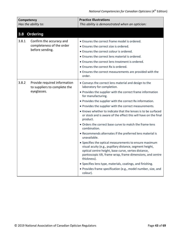<span id="page-42-0"></span>

| Competency<br>Has the ability to: |                                                              | <b>Practice Illustrations</b><br>This ability is demonstrated when an optician:                                                                                                                                                                                                                                                                                                                                                                                                                                                                                                                                                                                                                                                                                                                                                                                                                                                                                                                            |
|-----------------------------------|--------------------------------------------------------------|------------------------------------------------------------------------------------------------------------------------------------------------------------------------------------------------------------------------------------------------------------------------------------------------------------------------------------------------------------------------------------------------------------------------------------------------------------------------------------------------------------------------------------------------------------------------------------------------------------------------------------------------------------------------------------------------------------------------------------------------------------------------------------------------------------------------------------------------------------------------------------------------------------------------------------------------------------------------------------------------------------|
| <b>Ordering</b><br>3.8            |                                                              |                                                                                                                                                                                                                                                                                                                                                                                                                                                                                                                                                                                                                                                                                                                                                                                                                                                                                                                                                                                                            |
| 3.8.1<br>before sending.          | Confirm the accuracy and<br>completeness of the order        | • Ensures the correct frame model is ordered.<br>• Ensures the correct size is ordered.<br>• Ensures the correct colour is ordered.<br>• Ensures the correct lens material is ordered.<br>• Ensures the correct lens treatment is ordered.<br>• Ensures the correct Rx is ordered.<br>• Ensures the correct measurements are provided with the<br>order.                                                                                                                                                                                                                                                                                                                                                                                                                                                                                                                                                                                                                                                   |
| 3.8.2<br>eyeglasses.              | Provide required information<br>to suppliers to complete the | • Conveys the correct lens material and design to the<br>laboratory for completion.<br>• Provides the supplier with the correct frame information<br>for manufacturing.<br>• Provides the supplier with the correct Rx information.<br>• Provides the supplier with the correct measurements.<br>• Knows whether to indicate that the lenses is to be surfaced<br>or stock and is aware of the effect this will have on the final<br>product.<br>• Orders the correct base curve to match the frame-lens<br>combination.<br>• Recommends alternates if the preferred lens material is<br>unavailable.<br>• Specifies the optical measurements to ensure maximum<br>visual acuity (e.g., pupillary distance, segment height,<br>optical centre height, base curve, vertex distance,<br>pantoscopic tilt, frame wrap, frame dimensions, and centre<br>thickness).<br>• Specifies lens type, materials, coatings, and finishing.<br>· Provides frame specification (e.g., model number, size, and<br>colour). |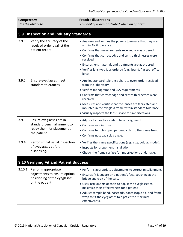<span id="page-43-1"></span><span id="page-43-0"></span>

| Competency<br>Has the ability to: |                                                                                                          | <b>Practice Illustrations</b><br>This ability is demonstrated when an optician:                                                                                                                                                                                                                                                                                                                                |
|-----------------------------------|----------------------------------------------------------------------------------------------------------|----------------------------------------------------------------------------------------------------------------------------------------------------------------------------------------------------------------------------------------------------------------------------------------------------------------------------------------------------------------------------------------------------------------|
| 3.9                               | <b>Inspection and Industry Standards</b>                                                                 |                                                                                                                                                                                                                                                                                                                                                                                                                |
| 3.9.1                             | Verify the accuracy of the<br>received order against the<br>patient record.                              | • Analyzes and verifies the powers to ensure that they are<br>within ANSI tolerance.<br>• Confirms that measurements received are as ordered.<br>• Confirms that correct edge and centre thicknesses were<br>received.<br>• Ensures lens materials and treatments are as ordered.<br>• Verifies lens type is as ordered (e.g., brand, flat top, office<br>lens).                                               |
| 3.9.2                             | Ensure eyeglasses meet<br>standard tolerances.                                                           | • Applies standard tolerance chart to every order received<br>from the laboratory.<br>• Verifies monograms and CSA requirements.<br>• Confirms that correct edge and centre thicknesses were<br>received.<br>• Measures and verifies that the lenses are fabricated and<br>mounted in the eyeglass frame within standard tolerance.<br>• Visually inspects the lens surface for imperfections.                 |
| 3.9.3                             | Ensure eyeglasses are in<br>standard bench alignment to<br>ready them for placement on<br>the patient.   | • Adjusts frames to standard bench alignment.<br>• Confirms 4-point touch.<br>• Confirms temples open perpendicular to the frame front.<br>• Confirms nosepad splay angle.                                                                                                                                                                                                                                     |
| 3.9.4                             | Perform final visual inspection<br>of eyeglasses before<br>dispensing.                                   | • Verifies the frame specifications (e.g., size, colour, model).<br>• Inspects for proper lens installation.<br>• Checks the frame surface for imperfections or damage.                                                                                                                                                                                                                                        |
|                                   | 3.10 Verifying Fit and Patient Success                                                                   |                                                                                                                                                                                                                                                                                                                                                                                                                |
| 3.10.1                            | Perform appropriate<br>adjustments to ensure optimal<br>positioning of the eyeglasses<br>on the patient. | • Performs appropriate adjustments to correct misalignment.<br>• Ensures fit is square on a patient's face, touching at the<br>bridge and crux of the ears.<br>• Uses instruments or tools to adjust the eyeglasses to<br>maximize their effectiveness for a patient.<br>• Adjusts temple bend, nosepads, pantoscopic tilt, and frame<br>wrap to fit the eyeglasses to a patient to maximize<br>effectiveness. |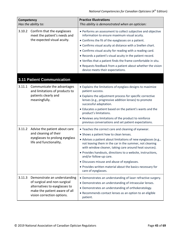<span id="page-44-0"></span>

| Competency<br>Has the ability to: |                                                                                                                                                              | <b>Practice Illustrations</b><br>This ability is demonstrated when an optician:                                                                                                                                                                                                                                                                                                                                                                                                                                                  |
|-----------------------------------|--------------------------------------------------------------------------------------------------------------------------------------------------------------|----------------------------------------------------------------------------------------------------------------------------------------------------------------------------------------------------------------------------------------------------------------------------------------------------------------------------------------------------------------------------------------------------------------------------------------------------------------------------------------------------------------------------------|
| 3.10.2                            | Confirm that the eyeglasses<br>meet the patient's needs and<br>the expected visual acuity.                                                                   | • Performs an assessment to collect subjective and objective<br>information to ensure maximum visual acuity.<br>• Confirms the fit of the eyeglasses on a patient.<br>• Confirms visual acuity at distance with a Snellen chart.<br>• Confirms visual acuity for reading with a reading card.<br>. Records a patient's visual acuity in the patient record.<br>• Verifies that a patient finds the frame comfortable in situ.<br>• Requests feedback from a patient about whether the vision<br>device meets their expectations. |
|                                   | <b>3.11 Patient Communication</b>                                                                                                                            |                                                                                                                                                                                                                                                                                                                                                                                                                                                                                                                                  |
| 3.11.1                            | Communicate the advantages<br>and limitations of products to<br>patients clearly and<br>meaningfully.                                                        | • Explains the limitations of eyeglass designs to maximize<br>patient success.<br>• Explains the adjustment process for specific corrective<br>lenses (e.g., progressive addition lenses) to promote<br>successful adaptation.<br>• Educates a patient based on the patient's wants and the<br>product's limitations.<br>• Reviews any limitations of the product to reinforce<br>previous conversations and set patient expectations.                                                                                           |
| 3.11.2                            | Advise the patient about care<br>and cleaning of their<br>eyeglasses to prolong eyeglass<br>life and functionality.                                          | • Teaches the correct care and cleaning of eyewear.<br>• Shows a patient how to clean lenses.<br>• Advises a patient about limitations of new eyeglasses (e.g.,<br>not leaving them in the car in the summer, not cleaning<br>with window cleaner, taking care around heat sources).<br>• Provides handouts, directions to a website, instructions,<br>and/or follow-up care.<br>• Discusses misuse and abuse of eyeglasses.<br>• Provides written material about the basics necessary for<br>care of eyeglasses.                |
| 3.11.3                            | Demonstrate an understanding<br>of surgical and non-surgical<br>alternatives to eyeglasses to<br>make the patient aware of all<br>vision correction options. | • Demonstrates an understanding of laser refractive surgery.<br>• Demonstrates an understanding of intraocular lenses.<br>• Demonstrates an understanding of orthokeratology.<br>• Recommends contact lenses as an option to an eligible<br>patient.                                                                                                                                                                                                                                                                             |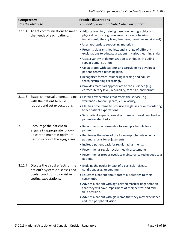| Competency<br>Has the ability to: |                                                                                                                                 | <b>Practice Illustrations</b><br>This ability is demonstrated when an optician:                                                                                               |
|-----------------------------------|---------------------------------------------------------------------------------------------------------------------------------|-------------------------------------------------------------------------------------------------------------------------------------------------------------------------------|
| 3.11.4                            | Adapt communications to meet<br>the needs of each patient.                                                                      | • Adjusts teaching/training based on demographics and<br>physical factors (e.g., age group, vision or hearing<br>impairment, literacy level, language, cognitive impairment). |
|                                   |                                                                                                                                 | · Uses appropriate supporting materials.                                                                                                                                      |
|                                   |                                                                                                                                 | • Presents diagrams, leaflets, and a range of different<br>explanations to educate a patient in various learning styles.                                                      |
|                                   |                                                                                                                                 | • Uses a variety of demonstration techniques, including<br>repeat demonstration.                                                                                              |
|                                   |                                                                                                                                 | • Collaborates with patients and caregivers to develop a<br>patient-centred teaching plan.                                                                                    |
|                                   |                                                                                                                                 | • Recognizes factors influencing learning and adjusts<br>teaching/training accordingly.                                                                                       |
|                                   |                                                                                                                                 | • Provides materials appropriate to the audience (e.g.,<br>correct literacy level, readability, font size, and format).                                                       |
| 3.11.5                            | Establish mutual understanding<br>with the patient to build<br>rapport and set expectations.                                    | • Clarifies expectations that affect the service (e.g.,<br>warranties, follow-up care, visual acuity).                                                                        |
|                                   |                                                                                                                                 | • Clarifies time frame to produce eyeglasses prior to ordering<br>to set patient expectations.                                                                                |
|                                   |                                                                                                                                 | • Sets patient expectations about time and work involved in<br>patient-related tasks.                                                                                         |
| 3.11.6                            | Encourage the patient to<br>engage in appropriate follow-                                                                       | • Recommends a reasonable follow-up schedule for a<br>patient.                                                                                                                |
|                                   | up care to maintain optimum<br>performance of the eyeglasses.                                                                   | • Reinforces the value of the follow-up schedule when a<br>patient returns for adjustments.                                                                                   |
|                                   |                                                                                                                                 | . Invites a patient back for regular adjustments.                                                                                                                             |
|                                   |                                                                                                                                 | • Recommends regular ocular health assessments.                                                                                                                               |
|                                   |                                                                                                                                 | • Recommends proper eyeglass maintenance techniques to a<br>patient.                                                                                                          |
| 3.11.7                            | Discuss the visual effects of the<br>patient's systemic diseases and<br>ocular conditions to assist in<br>setting expectations. | • Explains the ocular impact of a particular disease,<br>condition, drug, or treatment.                                                                                       |
|                                   |                                                                                                                                 | • Educates a patient about potential solutions to their<br>symptoms.                                                                                                          |
|                                   |                                                                                                                                 | • Advises a patient with age-related macular degeneration<br>that they will have impairment of their central and mid-<br>field of vision.                                     |
|                                   |                                                                                                                                 | • Advises a patient with glaucoma that they may experience<br>reduced peripheral vision.                                                                                      |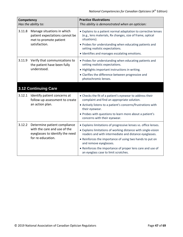<span id="page-46-0"></span>

| Competency<br>Has the ability to: |                                                                                                                      | <b>Practice Illustrations</b><br>This ability is demonstrated when an optician:                                                                                                                                                                                                                                                                                                        |
|-----------------------------------|----------------------------------------------------------------------------------------------------------------------|----------------------------------------------------------------------------------------------------------------------------------------------------------------------------------------------------------------------------------------------------------------------------------------------------------------------------------------------------------------------------------------|
| 3.11.8                            | Manage situations in which<br>patient expectations cannot be<br>met to promote patient<br>satisfaction.              | • Explains to a patient normal adaptation to corrective lenses<br>(e.g., lens materials, Rx changes, size of frame, optical<br>situations).<br>• Probes for understanding when educating patients and<br>setting realistic expectations.<br>· Identifies and manages escalating emotions.                                                                                              |
| 3.11.9                            | Verify that communications to<br>the patient have been fully<br>understood.                                          | • Probes for understanding when educating patients and<br>setting realistic expectations.<br>• Highlights important instructions in writing.<br>• Clarifies the difference between progressive and<br>photochromic lenses.                                                                                                                                                             |
|                                   | <b>3.12 Continuing Care</b>                                                                                          |                                                                                                                                                                                                                                                                                                                                                                                        |
| 3.12.1                            | Identify patient concerns at<br>follow-up assessment to create<br>an action plan.                                    | • Checks the fit of a patient's eyewear to address their<br>complaint and find an appropriate solution.<br>• Actively listens to a patient's concerns/frustrations with<br>their eyewear.<br>. Probes with questions to learn more about a patient's<br>concerns with their eyewear.                                                                                                   |
| 3.12.2                            | Determine patient compliance<br>with the care and use of the<br>eyeglasses to identify the need<br>for re-education. | • Explains limitations of progressive lenses vs. office lenses.<br>• Explains limitations of working distance with single-vision<br>readers and with intermediate and distance eyeglasses.<br>• Reinforces the importance of using two hands to put on<br>and remove eyeglasses.<br>• Reinforces the importance of proper lens care and use of<br>an eyeglass case to limit scratches. |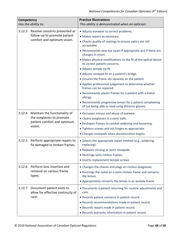| Competency | Has the ability to:                                                                                  | <b>Practice Illustrations</b><br>This ability is demonstrated when an optician:                                                                                                                                                                                                                                                                                                                                                                                                                                                                                                                                                                                                                                                                       |
|------------|------------------------------------------------------------------------------------------------------|-------------------------------------------------------------------------------------------------------------------------------------------------------------------------------------------------------------------------------------------------------------------------------------------------------------------------------------------------------------------------------------------------------------------------------------------------------------------------------------------------------------------------------------------------------------------------------------------------------------------------------------------------------------------------------------------------------------------------------------------------------|
| 3.12.3     | Resolve concerns presented at<br>follow-up to promote patient<br>comfort and optimum vision.         | • Adjusts eyewear to correct problems.<br>• Makes repairs as necessary.<br>• Checks quality of coatings to ensure optics are still<br>acceptable.<br>• Recommends new eye exam if appropriate and if there are<br>changes in vision.<br>• Makes physical modifications to the fit of the optical device<br>to correct patient concerns.<br>• Adjusts temple tip fit.<br>· Adjusts nosepad fit on a patient's bridge.<br>• Ensures the frame sits squarely on the patient.<br>• Applies professional judgement to determine whether<br>frames can be repaired.<br>• Recommends plastic frames for a patient with a metal<br>allergy.<br>• Recommends progressive lenses for a patient complaining<br>of not being able to read using distance glasses. |
| 3.12.4     | Maintain the functionality of<br>the eyeglasses to promote<br>patient comfort and optimum<br>vision. | · Discusses misuse and abuse of eyewear.<br>• Cleans eyeglasses in a sonic bath.<br>• Reshapes frames to combat widening and loosening.<br>• Tightens screws and oils hinges as appropriate.<br>• Changes nosepads when discolouration begins.                                                                                                                                                                                                                                                                                                                                                                                                                                                                                                        |
| 3.12.5     | Perform appropriate repairs to<br>fix damaged or broken frames.                                      | • Selects the appropriate repair method (e.g., soldering,<br>replacing).<br>• Replaces missing or worn nosepads.<br>• Restrings semi-rimless frames.<br>· Inserts replacement temple screws.                                                                                                                                                                                                                                                                                                                                                                                                                                                                                                                                                          |
| 3.12.6     | Perform lens insertion and<br>removal on various frame<br>types.                                     | • Changes the chassis and plugs on rimless eyeglasses.<br>• Restrings the nylon on a semi-rimless frame and reinserts<br>the lenses.<br>• Appropriately reinserts the lenses in an acetate frame.                                                                                                                                                                                                                                                                                                                                                                                                                                                                                                                                                     |
| 3.12.7     | Document patient visits to<br>allow for effective continuity of<br>care.                             | • Documents a patient returning for routine adjustments and<br>care.<br>• Records patient concerns in patient record.<br>• Records recommendations made in patient record.<br>• Records repairs made in patient record.<br>• Records warranty information in patient record.                                                                                                                                                                                                                                                                                                                                                                                                                                                                          |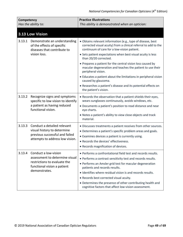<span id="page-48-0"></span>

| Competency<br>Has the ability to: |                                                                                                                                        | <b>Practice Illustrations</b><br>This ability is demonstrated when an optician:                                                                                                                                                                                                                                                                                                                                                                        |
|-----------------------------------|----------------------------------------------------------------------------------------------------------------------------------------|--------------------------------------------------------------------------------------------------------------------------------------------------------------------------------------------------------------------------------------------------------------------------------------------------------------------------------------------------------------------------------------------------------------------------------------------------------|
|                                   | 3.13 Low Vision                                                                                                                        |                                                                                                                                                                                                                                                                                                                                                                                                                                                        |
| 3.13.1                            | Demonstrate an understanding<br>of the effects of specific<br>diseases that contribute to                                              | · Obtains relevant information (e.g., type of disease, best<br>corrected visual acuity) from a clinical referral to add to the<br>continuum of care for a low-vision patient.                                                                                                                                                                                                                                                                          |
|                                   | vision loss.                                                                                                                           | • Sets patient expectations when best visual acuity is less<br>than 20/20 corrected.                                                                                                                                                                                                                                                                                                                                                                   |
|                                   |                                                                                                                                        | • Prepares a patient for the central vision loss caused by<br>macular degeneration and teaches the patient to use their<br>peripheral vision.                                                                                                                                                                                                                                                                                                          |
|                                   |                                                                                                                                        | • Educates a patient about the limitations in peripheral vision<br>caused by glaucoma.                                                                                                                                                                                                                                                                                                                                                                 |
|                                   |                                                                                                                                        | • Researches a patient's disease and its potential effects on<br>the patient's vision.                                                                                                                                                                                                                                                                                                                                                                 |
| 3.13.2                            | Recognize signs and symptoms<br>specific to low vision to identify<br>a patient as having reduced<br>functional vision.                | • Records the observation that a patient shields their eyes,<br>wears sunglasses continuously, avoids windows, etc.<br>• Documents a patient's position to read distance and near<br>eye charts.<br>. Notes a patient's ability to view close objects and track                                                                                                                                                                                        |
|                                   |                                                                                                                                        | material.                                                                                                                                                                                                                                                                                                                                                                                                                                              |
| 3.13.3                            | Conduct a detailed relevant<br>visual history to determine<br>previous successful and failed<br>attempts to address low vision.        | • Discusses treatments a patient receives from other sources.<br>• Determines a patient's specific problem areas and goals.<br>• Examines devices a patient is currently using.<br>• Records the devices' effectiveness.<br>• Records magnification of devices.                                                                                                                                                                                        |
| 3.13.4                            | Conduct a low-vision<br>assessment to determine visual<br>restrictions to evaluate the<br>functional vision a patient<br>demonstrates. | • Performs a confrontational field test and records results.<br>• Performs a contrast sensitivity test and records results.<br>• Performs an Amsler grid test for macular degeneration<br>patients and records results.<br>· Identifies where residual vision is and records results.<br>• Records best corrected visual acuity.<br>• Determines the presence of other contributing health and<br>cognitive factors that affect low-vision assessment. |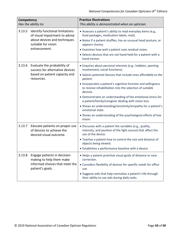| Competency<br>Has the ability to:                                           |                                                                                                                | <b>Practice Illustrations</b><br>This ability is demonstrated when an optician:                                                                |
|-----------------------------------------------------------------------------|----------------------------------------------------------------------------------------------------------------|------------------------------------------------------------------------------------------------------------------------------------------------|
| 3.13.5<br>Identify functional limitations<br>of visual impairment to advise | • Assesses a patient's ability to read everyday items (e.g.,<br>food packages, medication labels, mail).       |                                                                                                                                                |
|                                                                             | about devices and techniques<br>suitable for vision                                                            | . Notes if a patient shuffles, has an unusual head posture, or<br>appears clumsy.                                                              |
|                                                                             | enhancement.                                                                                                   | • Examines how well a patient uses residual vision.                                                                                            |
|                                                                             |                                                                                                                | • Selects devices that are not hand-held for a patient with a<br>hand tremor.                                                                  |
| 3.13.6                                                                      | Evaluate the probability of<br>success for alternative devices                                                 | • Enquires about personal interests (e.g., hobbies, sporting<br>involvement, social functions).                                                |
|                                                                             | based on patient capacity and<br>resources.                                                                    | • Selects potential devices that include ones affordable to the<br>patient.                                                                    |
|                                                                             |                                                                                                                | • Incorporates a patient's cognitive function and willingness<br>to receive rehabilitation into the selection of suitable<br>devices.          |
|                                                                             |                                                                                                                | • Demonstrates an understanding of the emotional stress for<br>a patient/family/caregiver dealing with vision loss.                            |
|                                                                             |                                                                                                                | • Shows an understanding/sensitivity/empathy for a patient's<br>emotional state.                                                               |
|                                                                             |                                                                                                                | • Shows an understanding of the psychological effects of low<br>vision.                                                                        |
| 3.13.7                                                                      | Educate patients on proper use<br>of devices to achieve the<br>desired visual outcome.                         | · Discusses with a patient the variables (e.g., quality,<br>intensity, and position of the light source) that affect the<br>use of the device. |
|                                                                             |                                                                                                                | • Teaches a patient how to control the size and distance of<br>objects being viewed.                                                           |
|                                                                             |                                                                                                                | • Establishes a performance baseline with a device.                                                                                            |
| 3.13.8                                                                      | Engage patients in decision-<br>making to help them make<br>informed choices that meet the<br>patient's goals. | • Helps a patient prioritize visual goals of distance or near<br>correction.                                                                   |
|                                                                             |                                                                                                                | • Considers flexibility of devices for specific needs for office<br>use.                                                                       |
|                                                                             |                                                                                                                | • Suggests aids that help normalize a patient's life through<br>their ability to use aids during daily tasks.                                  |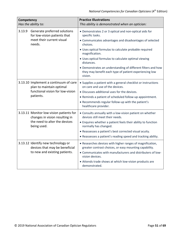| Competency<br>Has the ability to:                                                                                         |                                                                                                                     | <b>Practice Illustrations</b><br>This ability is demonstrated when an optician:                                                   |
|---------------------------------------------------------------------------------------------------------------------------|---------------------------------------------------------------------------------------------------------------------|-----------------------------------------------------------------------------------------------------------------------------------|
| 3.13.9                                                                                                                    | Generate preferred solutions<br>for low-vision patients that                                                        | • Demonstrates 2 or 3 optical and non-optical aids for<br>specific tasks.                                                         |
|                                                                                                                           | meet their current visual<br>needs.                                                                                 | • Communicates advantages and disadvantages of selected<br>choices.                                                               |
|                                                                                                                           |                                                                                                                     | • Uses optical formulas to calculate probable required<br>magnification.                                                          |
|                                                                                                                           |                                                                                                                     | · Uses optical formulas to calculate optimal viewing<br>distances.                                                                |
|                                                                                                                           |                                                                                                                     | • Demonstrates an understanding of different filters and how<br>they may benefit each type of patient experiencing low<br>vision. |
| 3.13.10 Implement a continuum of care<br>plan to maintain optimal<br>functional vision for low-vision<br>patients.        | • Supplies a patient with a general checklist or instructions<br>on care and use of the devices.                    |                                                                                                                                   |
|                                                                                                                           |                                                                                                                     | • Discusses additional uses for the devices.                                                                                      |
|                                                                                                                           | • Reminds a patient of scheduled follow-up appointment.                                                             |                                                                                                                                   |
|                                                                                                                           |                                                                                                                     | . Recommends regular follow-up with the patient's<br>healthcare provider.                                                         |
| 3.13.11 Monitor low-vision patients for<br>changes in vision resulting in<br>the need to alter the devices<br>being used. | • Consults annually with a low-vision patient on whether<br>devices still meet their needs.                         |                                                                                                                                   |
|                                                                                                                           |                                                                                                                     | • Enquires whether a patient feels their ability to function<br>normally has changed.                                             |
|                                                                                                                           |                                                                                                                     | • Reassesses a patient's best corrected visual acuity.                                                                            |
|                                                                                                                           |                                                                                                                     | • Reassesses a patient's reading speed and tracking ability.                                                                      |
| 3.13.12 Identify new technology or<br>devices that may be beneficial<br>to new and existing patients.                     | • Researches devices with higher ranges of magnification,<br>greater contrast choices, or easy mounting capability. |                                                                                                                                   |
|                                                                                                                           | • Communicates with manufacturers and distributers of low-<br>vision devices.                                       |                                                                                                                                   |
|                                                                                                                           |                                                                                                                     | • Attends trade shows at which low-vision products are<br>demonstrated.                                                           |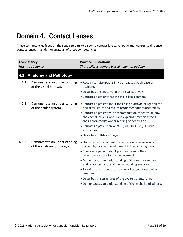### <span id="page-51-0"></span>**Domain 4. Contact Lenses**

These competencies focus on the requirements to dispense contact lenses. All opticians licensed to dispense contact lenses must demonstrate all of these competencies.

<span id="page-51-1"></span>

| Competency<br>Has the ability to: |                                                            | <b>Practice Illustrations</b><br>This ability is demonstrated when an optician:                                                                                        |
|-----------------------------------|------------------------------------------------------------|------------------------------------------------------------------------------------------------------------------------------------------------------------------------|
| 4.1                               | <b>Anatomy and Pathology</b>                               |                                                                                                                                                                        |
| 4.1.1                             | Demonstrate an understanding<br>of the visual pathway.     | • Recognizes disruptions in vision caused by disease or<br>accident.                                                                                                   |
|                                   |                                                            | • Describes the anatomy of the visual pathway.                                                                                                                         |
|                                   |                                                            | • Educates a patient that the eye is like a camera.                                                                                                                    |
| 4.1.2                             | Demonstrate an understanding<br>of the ocular system.      | • Educates a patient about the risks of ultraviolet light on the<br>ocular structure and makes recommendations accordingly.                                            |
|                                   |                                                            | • Educates a patient with accommodation concerns on how<br>the crystalline lens works and explains how this affects<br>their accommodation for reading or near vision. |
|                                   |                                                            | • Educates a patient on what 20/20, 20/30, 20/80 visual<br>acuity means.                                                                                               |
|                                   |                                                            | • Describes Gullstrand's eye.                                                                                                                                          |
| 4.1.3                             | Demonstrate an understanding<br>of the anatomy of the eye. | • Discusses with a patient the reduction in visual acuity<br>caused by cataract development in the ocular system.                                                      |
|                                   |                                                            | • Educates a patient about presbyopia and offers<br>recommendations for its management.                                                                                |
|                                   |                                                            | • Demonstrates an understanding of the anterior segment<br>and related structure of the surrounding eye area.                                                          |
|                                   |                                                            | • Explains to a patient the meaning of astigmatism and its<br>treatment.                                                                                               |
|                                   |                                                            | • Describes the structures of the eye (e.g., lens, retina).                                                                                                            |
|                                   |                                                            | • Demonstrates an understanding of the eyeball and adnexa.                                                                                                             |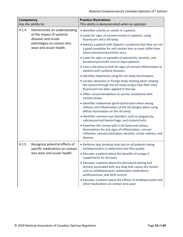| Competency<br>Has the ability to: |                                                                                                                                            | <b>Practice Illustrations</b><br>This ability is demonstrated when an optician:                                                                                                                                                                                                                                                                                                                                                                                                                                                                                                                                                                                                                                                                                                                                                                                                                                                                                                                                                                                                                                                   |
|-----------------------------------|--------------------------------------------------------------------------------------------------------------------------------------------|-----------------------------------------------------------------------------------------------------------------------------------------------------------------------------------------------------------------------------------------------------------------------------------------------------------------------------------------------------------------------------------------------------------------------------------------------------------------------------------------------------------------------------------------------------------------------------------------------------------------------------------------------------------------------------------------------------------------------------------------------------------------------------------------------------------------------------------------------------------------------------------------------------------------------------------------------------------------------------------------------------------------------------------------------------------------------------------------------------------------------------------|
| 4.1.4                             | Demonstrate an understanding<br>of the impact of systemic<br>diseases and ocular<br>pathologies on contact lens<br>wear and ocular health. | · Identifies scleritis or uveitis in a patient.<br>• Looks for signs of corneal erosion in patients, using<br>fluorescein and a slit-lamp.<br>• Advises a patient with Sjogren's syndrome that they are not<br>a good candidate for soft contact lens as most suffer from<br>severe keratoconjunctivitis sicca.<br>• Looks for signs or episodes of episcleritis, keratitis, and<br>keratoconjunctivitis sicca in lupus patients.<br>• Uses a slit-lamp to look for signs of corneal inflammation in<br>patients with systemic diseases.<br>• Identifies blepharitis using the slit-lamp illuminations.<br>• Locates abrasions or foreign body staining when viewing<br>the cornea through the slit-lamp using a blue filter once<br>fluorescein has been applied to the eye.<br>• Offers recommendations to correct aniseikonia with<br>contact lenses.<br>· Identifies meibomian gland dysfunction when seeing<br>redness and inflammation of the lid margins when using<br>diffuse illumination on the slit-lamp.<br>· Identifies common eye disorders, such as pinguecula,<br>subconjunctival hemorrhage, and conjunctivitis. |
|                                   |                                                                                                                                            | • Examines the cornea with a slit-lamp and various<br>illuminations for any signs of inflammation, corneal<br>infiltrates, neovascularization, keratitis, ocular redness, and<br>dryness.                                                                                                                                                                                                                                                                                                                                                                                                                                                                                                                                                                                                                                                                                                                                                                                                                                                                                                                                         |
| 4.1.5                             | Recognize potential effects of<br>specific medications on contact<br>lens wear and ocular health.                                          | • Performs tear breakup time test on all patients taking<br>antidepressants to determine tear film quality.<br>• Educates a patient about the benefits of omega-3<br>supplements for dry eyes.<br>• Educates a patient about the decreased tearing and<br>dryness associated with any drug that causes dry mouth,<br>such as antidepressants, antianxiety medications,<br>antihistamines, and birth control.<br>• Educates a patient about the effects of antidepressants and<br>other medications on contact lens wear.                                                                                                                                                                                                                                                                                                                                                                                                                                                                                                                                                                                                          |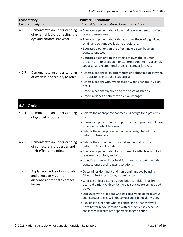<span id="page-53-0"></span>

| Competency | Has the ability to:                                               | <b>Practice Illustrations</b><br>This ability is demonstrated when an optician:                                                                                                 |
|------------|-------------------------------------------------------------------|---------------------------------------------------------------------------------------------------------------------------------------------------------------------------------|
| 4.1.6      | Demonstrate an understanding<br>of external factors affecting the | • Educates a patient about how their environment can affect<br>contact lenses wear.                                                                                             |
|            | eye and contact lens wear.                                        | • Educates a patient about the adverse effects of digital eye<br>strain and options available to alleviate it.                                                                  |
|            |                                                                   | • Educates a patient on the effect makeup can have on<br>contact lens wear.                                                                                                     |
|            |                                                                   | • Educates a patient on the effects of over-the-counter<br>drugs, nutritional supplements, herbal treatments, alcohol,<br>tobacco, and recreational drugs on contact lens wear. |
| 4.1.7      | Demonstrate an understanding<br>of when it is necessary to refer. | • Refers a patient to an optometrist or ophthalmologist when<br>an abrasion is more than superficial.                                                                           |
|            |                                                                   | • Refers a patient with hypertension when changes in vision<br>occur.                                                                                                           |
|            |                                                                   | • Refers a patient experiencing the onset of scleritis.                                                                                                                         |
|            |                                                                   | • Refers a diabetic patient with vision changes.                                                                                                                                |
| 4.2        | <b>Optics</b>                                                     |                                                                                                                                                                                 |
| 4.2.1      | Demonstrate an understanding<br>of geometric optics.              | • Selects the appropriate contact lens design for a patient's<br>Rx.                                                                                                            |
|            |                                                                   | • Educates a patient on the importance of a good tear film on<br>vision and contact lens wear.                                                                                  |
|            |                                                                   | • Selects the appropriate contact lens design based on a<br>patient's K-readings.                                                                                               |
| 4.2.2      | Demonstrate an understanding<br>of contact lens properties and    | • Selects the correct lens material and modality for a<br>patient's Rx and lifestyle.                                                                                           |
|            | their effects on optics.                                          | • Educates a patient about environmental effects on contact<br>lens wear, comfort, and vision.                                                                                  |
|            |                                                                   | • Identifies abnormalities in vision when a patient is wearing<br>contact lenses and suggests solutions.                                                                        |
| 4.2.3      | Apply knowledge of monocular<br>and binocular vision to           | • Determines dominant and non-dominant eye by using<br>Miles or Porta tests for eye dominance.                                                                                  |
|            | dispense appropriate contact<br>lenses.                           | • Checks not just distance vison, but near vision in a 40+<br>year-old patient with an Rx increase but no prescribed add<br>power.                                              |
|            |                                                                   | · Discusses with a patient who has amblyopia or strabismus<br>that contact lenses will not correct their binocular vision.                                                      |
|            |                                                                   | • Explains to a patient who has aniseikonia that they will<br>have better binocular vision with contact lenses because<br>the lenses will eliminate spectacle magnification.    |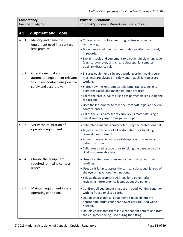<span id="page-54-0"></span>

| <b>Competency</b><br>Has the ability to: |                                                                                        | <b>Practice Illustrations</b><br>This ability is demonstrated when an optician:                                                                       |
|------------------------------------------|----------------------------------------------------------------------------------------|-------------------------------------------------------------------------------------------------------------------------------------------------------|
| 4.3                                      | <b>Equipment and Tools</b>                                                             |                                                                                                                                                       |
| 4.3.1                                    | Identify and name the<br>equipment used in a contact                                   | • Converses with colleagues using profession-specific<br>terminology.                                                                                 |
|                                          | lens practice.                                                                         | • Documents equipment names or abbreviations accurately<br>in records.                                                                                |
|                                          |                                                                                        | • Explains tools and equipment to a patient in plain language<br>(e.g., keratometer, slit-lamp, radiuscope, lensometer,<br>pupillary distance ruler). |
| 4.3.2                                    | Operate manual and<br>automated equipment relevant<br>to current contact lens practice | • Ensures equipment is in good working order, making sure<br>machines are plugged in safely and that all lightbulbs are<br>working.                   |
|                                          | safely and accurately.                                                                 | • States how the keratometer, slit-lamp, radiuscope, lens<br>diameter gauge, and magnifier loupe are used.                                            |
|                                          |                                                                                        | • Takes the base curve of a rigid gas permeable lens using the<br>radiuscope.                                                                         |
|                                          |                                                                                        | • Uses the lensometer to take the Rx of soft, rigid, and scleral<br>contact lenses.                                                                   |
|                                          |                                                                                        | • Takes the lens diameter of various lens materials using a<br>lens diameter gauge or magnifier loupe.                                                |
| 4.3.3                                    | Verify the calibration of<br>operating equipment.                                      | • Calibrates a manual keratometer using the calibrations ball.                                                                                        |
|                                          |                                                                                        | • Adjusts the eyepiece of a keratometer prior to taking<br>corneal measurements.                                                                      |
|                                          |                                                                                        | • Adjusts the eyepieces on a slit-lamp prior to viewing a<br>patient's cornea.                                                                        |
|                                          |                                                                                        | • Calibrates a radiuscope prior to taking the base curve of a<br>rigid gas permeable lens.                                                            |
| 4.3.4                                    | Choose the equipment<br>required for fitting contact                                   | • Uses a keratometer or an autorefractor to take corneal<br>readings.                                                                                 |
|                                          | lenses.                                                                                | • Uses a slit-lamp to assess the cornea, sclera, and lid area of<br>the eye using various illuminations.                                              |
|                                          |                                                                                        | • Selects the appropriate trial lens for a patient after<br>reviewing information collected about the patient.                                        |
| 4.3.5                                    | Maintain equipment in safe<br>operating condition.                                     | • Confirms all equipment plugs are in good working condition<br>with no frayed or sliced cords.                                                       |
|                                          |                                                                                        | • Double checks that all equipment is plugged into the<br>appropriate outlets and that power bars are used when<br>needed.                            |
|                                          |                                                                                        | • Double checks that there is a clear patient path to and from<br>the equipment being used during the fitting.                                        |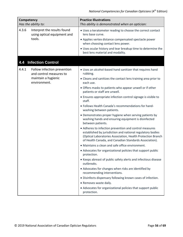<span id="page-55-0"></span>

| <b>Competency</b><br>Has the ability to: |                                                                                                                                                                                                                                               | <b>Practice Illustrations</b><br>This ability is demonstrated when an optician:                                                    |
|------------------------------------------|-----------------------------------------------------------------------------------------------------------------------------------------------------------------------------------------------------------------------------------------------|------------------------------------------------------------------------------------------------------------------------------------|
| 4.3.6                                    | Interpret the results found<br>using optical equipment and<br>tools.                                                                                                                                                                          | • Uses a keratometer reading to choose the correct contact<br>lens base curve.                                                     |
|                                          |                                                                                                                                                                                                                                               | • Applies vertex distance compensated spectacle power<br>when choosing contact lens power.                                         |
|                                          |                                                                                                                                                                                                                                               | . Uses ocular history and tear breakup time to determine the<br>best lens material and modality.                                   |
| 4.4                                      | <b>Infection Control</b>                                                                                                                                                                                                                      |                                                                                                                                    |
| 4.4.1                                    | Follow infection prevention<br>and control measures to                                                                                                                                                                                        | • Uses an alcohol-based hand sanitizer that requires hand<br>rubbing.                                                              |
|                                          | maintain a hygienic<br>environment.                                                                                                                                                                                                           | • Cleans and sanitizes the contact lens training area prior to<br>each use.                                                        |
|                                          |                                                                                                                                                                                                                                               | • Offers masks to patients who appear unwell or if other<br>patients or staff are unwell.                                          |
|                                          |                                                                                                                                                                                                                                               | • Ensures appropriate infection control signage is visible to<br>staff.                                                            |
|                                          |                                                                                                                                                                                                                                               | . Follows Health Canada's recommendations for hand-<br>washing between patients.                                                   |
|                                          |                                                                                                                                                                                                                                               | • Demonstrates proper hygiene when serving patients by<br>washing hands and ensuring equipment is disinfected<br>between patients. |
|                                          | • Adheres to infection prevention and control measures<br>established by jurisdiction and national regulatory bodies<br>(Optical Laboratories Association, Health Protection Branch<br>of Health Canada, and Canadian Standards Association). |                                                                                                                                    |
|                                          |                                                                                                                                                                                                                                               | • Maintains a clean and safe office environment.                                                                                   |
|                                          |                                                                                                                                                                                                                                               | • Advocates for organizational policies that support public<br>protection.                                                         |
|                                          |                                                                                                                                                                                                                                               | • Keeps abreast of public safety alerts and infectious disease<br>outbreaks.                                                       |
|                                          |                                                                                                                                                                                                                                               | • Advocates for changes when risks are identified by<br>recommending interventions.                                                |
|                                          |                                                                                                                                                                                                                                               | · Disinfects dispensary following known cases of infection.                                                                        |
|                                          |                                                                                                                                                                                                                                               | • Removes waste daily.                                                                                                             |
|                                          |                                                                                                                                                                                                                                               | • Advocates for organizational policies that support public<br>protection.                                                         |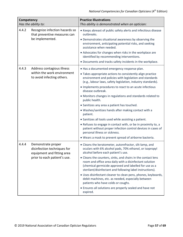| Competency<br>Has the ability to: |                                                                                                                 | <b>Practice Illustrations</b><br>This ability is demonstrated when an optician:                                                                                                                                                                |
|-----------------------------------|-----------------------------------------------------------------------------------------------------------------|------------------------------------------------------------------------------------------------------------------------------------------------------------------------------------------------------------------------------------------------|
| 4.4.2                             | Recognize infection hazards so<br>that preventive measures can                                                  | • Keeps abreast of public safety alerts and infectious disease<br>outbreaks.                                                                                                                                                                   |
|                                   | be implemented.                                                                                                 | • Demonstrates situational awareness by observing the<br>environment, anticipating potential risks, and seeking<br>assistance when needed.                                                                                                     |
|                                   |                                                                                                                 | • Advocates for changes when risks in the workplace are<br>identified by recommending interventions.                                                                                                                                           |
|                                   |                                                                                                                 | • Documents and tracks safety incidents in the workplace.                                                                                                                                                                                      |
| 4.4.3                             | Address contagious illness                                                                                      | . Has a documented emergency response plan.                                                                                                                                                                                                    |
|                                   | within the work environment<br>to avoid infecting others.                                                       | • Takes appropriate actions to consistently align practice<br>environment and policies with legislation and standards<br>(e.g., labour laws, safety legislation, industry standards).                                                          |
|                                   |                                                                                                                 | • Implements procedures to react to an acute infectious<br>disease outbreak.                                                                                                                                                                   |
|                                   |                                                                                                                 | • Monitors changes in regulations and standards related to<br>public health.                                                                                                                                                                   |
|                                   |                                                                                                                 | • Sanitizes any area a patient has touched.                                                                                                                                                                                                    |
|                                   |                                                                                                                 | • Washes/sanitizes hands after making contact with a<br>patient.                                                                                                                                                                               |
|                                   |                                                                                                                 | • Sanitizes all tools used while assisting a patient.                                                                                                                                                                                          |
|                                   |                                                                                                                 | • Refuses to engage in contact with, or be in proximity to, a<br>patient without proper infection control devices in cases of<br>personal illness or sickness.                                                                                 |
|                                   |                                                                                                                 | . Wears a mask to prevent spread of airborne bacteria.                                                                                                                                                                                         |
| 4.4.4                             | Demonstrate proper<br>disinfection techniques for<br>equipment and fitting area<br>prior to each patient's use. | • Cleans the keratometer, autorefractor, slit-lamp, and<br>oculars with 6% alcohol pads, 70% ethanol, or isopropyl<br>alcohol before each patient's use.                                                                                       |
|                                   |                                                                                                                 | • Cleans the counters, sinks, and chairs in the contact lens<br>room and office area daily with a disinfectant solution<br>(chemical germicide approved and labelled for use as a<br>sterilant/disinfectant and following label instructions). |
|                                   |                                                                                                                 | • Uses disinfectant cleaner to clean pens, phones, keyboards,<br>debit machines, etc. as needed, especially between<br>patients who have colds or coughs.                                                                                      |
|                                   |                                                                                                                 | • Ensures all solutions are properly sealed and have not<br>expired.                                                                                                                                                                           |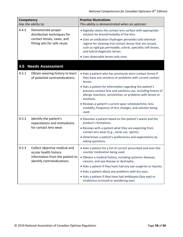<span id="page-57-0"></span>

| Competency<br>Has the ability to: |                                                                                                                          | <b>Practice Illustrations</b><br>This ability is demonstrated when an optician:                                                                                                                                                                                                                                                                                                                                                                                            |
|-----------------------------------|--------------------------------------------------------------------------------------------------------------------------|----------------------------------------------------------------------------------------------------------------------------------------------------------------------------------------------------------------------------------------------------------------------------------------------------------------------------------------------------------------------------------------------------------------------------------------------------------------------------|
| 4.4.5                             | Demonstrate proper<br>disinfection techniques for<br>contact lenses, cases, and<br>fitting sets for safe reuse.          | . Digitally cleans the contact lens surface with appropriate<br>solution for brand/modality of the lens.<br>• Uses an oxidization (hydrogen peroxide) cold chemical<br>regime for cleaning trial contact lenses that are reused,<br>such as rigid gas permeable, scleral, speciality soft lenses,<br>and hybrid diagnostic lenses.<br>· Uses disposable lenses only once.                                                                                                  |
| 4.5                               | <b>Needs Assessment</b>                                                                                                  |                                                                                                                                                                                                                                                                                                                                                                                                                                                                            |
| 4.5.1                             | Obtain wearing history to learn<br>of potential contraindications.                                                       | • Asks a patient who has previously worn contact lenses if<br>they have any concerns or problems with current contact<br>lenses.<br>• Asks a patient for information regarding the patient's<br>previous contact lens and solutions use, including history of<br>allergic reactions, sensitivities, or problems with lenses or<br>solutions.<br>• Reviews a patient's current wear schedule/time, lens<br>modality, frequency of lens changes, and solution being<br>used. |
| 4.5.2                             | Identify the patient's<br>expectations and motivations<br>for contact lens wear.                                         | • Educates a patient based on the patient's wants and the<br>product's limitations.<br>• Reviews with a patient what they are expecting from<br>contact lens wear (e.g., social use, sports).<br>• Determines a patient's preferences and expectations by<br>asking questions.                                                                                                                                                                                             |
| 4.5.3                             | Collect objective medical and<br>ocular health history<br>information from the patient to<br>identify contraindications. | • Asks a patient for a list of current prescribed and over-the-<br>counter medication being used.<br>· Obtains a medical history, including systemic diseases,<br>cancers, and eye disease or dystrophy.<br>• Asks a patient if they have had any eye surgeries or injuries.<br>• Asks a patient about any problems with dry eyes.<br>• Asks a patient if they have had amblyopia (lazy eye) or<br>strabismus (crossed or wandering eye).                                  |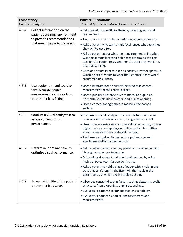| Competency<br>Has the ability to: |                                                                                           | <b>Practice Illustrations</b><br>This ability is demonstrated when an optician:                                                                                                                               |
|-----------------------------------|-------------------------------------------------------------------------------------------|---------------------------------------------------------------------------------------------------------------------------------------------------------------------------------------------------------------|
| 4.5.4                             | Collect information on the<br>patient's wearing environment<br>to provide recommendations | • Asks questions specific to lifestyle, including work and<br>leisure needs.<br>• Finds out when and what a patient uses contact lens for.                                                                    |
|                                   | that meet the patient's needs.                                                            | • Asks a patient who wants multifocal lenses what activities<br>they will be used for.                                                                                                                        |
|                                   |                                                                                           | • Asks a patient about what their environment is like when<br>wearing contact lenses to help fitter determine the best<br>lens for the patient (e.g., whether the area they work in is<br>dry, dusty, dirty). |
|                                   |                                                                                           | • Consider circumstances, such as hockey or water sports, in<br>which a patient wants to wear their contact lenses when<br>recommending lenses.                                                               |
| 4.5.5                             | Use equipment and tools to<br>take accurate ocular                                        | • Uses a keratometer or autorefractor to take corneal<br>measurement of the central cornea.                                                                                                                   |
|                                   | measurements and readings<br>for contact lens fitting.                                    | • Uses a pupillary distance ruler to measure pupil size,<br>horizontal visible iris diameter, and fissure opening.                                                                                            |
|                                   |                                                                                           | • Uses a corneal topographer to measure the corneal<br>surface.                                                                                                                                               |
| 4.5.6                             | Conduct a visual acuity test to<br>assess current vision                                  | • Performs a visual acuity assessment, distance and near,<br>binocular and monocular vison, using a Snellen chart.                                                                                            |
|                                   | performance.                                                                              | • Uses other materials or environment to test vision, such as<br>digital devices or stepping out of the contact lens fitting<br>area to view items in a real-world setting.                                   |
|                                   |                                                                                           | • Performs a visual acuity test with a patient's current<br>eyeglasses and/or contact lens on.                                                                                                                |
| 4.5.7                             | Determine dominant eye to<br>optimize visual performance.                                 | • Asks a patient which eye they prefer to use when looking<br>through a camera or telescope.                                                                                                                  |
|                                   |                                                                                           | • Determines dominant and non-dominant eye by using<br>Myles or Porta tests for eye dominance.                                                                                                                |
|                                   |                                                                                           | • Asks a patient to hold a piece of paper with a hole in the<br>centre at arm's length; the fitter will then look at the<br>patient and ask which eye is visible to them.                                     |
| 4.5.8                             | Assess suitability of the patient<br>for contact lens wear.                               | • Observes contraindicating factors such as dexterity, eyelid<br>structure, fissure opening, pupil size, and age.                                                                                             |
|                                   |                                                                                           | • Evaluates a patient's Rx for contact lens suitability.                                                                                                                                                      |
|                                   |                                                                                           | • Evaluates a patient's contact lens assessment and<br>measurements.                                                                                                                                          |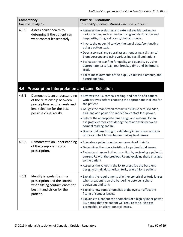| Competency<br>Has the ability to: |                                                                                        | <b>Practice Illustrations</b><br>This ability is demonstrated when an optician:                                                                                       |
|-----------------------------------|----------------------------------------------------------------------------------------|-----------------------------------------------------------------------------------------------------------------------------------------------------------------------|
| 4.5.9                             | Assess ocular health to<br>determine if the patient can<br>wear contact lenses safely. | • Assesses the eyelashes and external eyelids looking for<br>various issues, such as meibomian gland dysfunction and<br>blepharitis, using a slit-lamp/biomicroscope. |
|                                   |                                                                                        | • Inverts the upper lid to view the tarsal plate/conjunctiva<br>using a cotton swab.                                                                                  |
|                                   |                                                                                        | • Does a corneal and scleral assessment using a slit-lamp/<br>biomicroscope and using various indirect illuminations.                                                 |
|                                   |                                                                                        | • Evaluates the tear film for quality and quantity by using<br>appropriate tests (e.g., tear breakup time and Schirmer's<br>test).                                    |
|                                   |                                                                                        | • Takes measurements of the pupil, visible iris diameter, and<br>fissure opening.                                                                                     |

### <span id="page-59-0"></span>**4.6 Prescription Interpretation and Lens Selection**

| 4.6.1 | Demonstrate an understanding<br>of the relationship between<br>prescription requirements and<br>lens selection for the best<br>possible visual acuity. | • Reviews the Rx, corneal reading, and health of a patient<br>with dry eyes before choosing the appropriate trial lens for<br>the patient.<br>• Gauges the manifested contact lens Rx (sphere, cylinder,<br>axis, and add power) to ratify final contact lens power.<br>• Selects the appropriate lens design and material for an<br>astigmatic cornea considering the relationship between<br>corneal reading and Rx.<br>• Does a trial lens fitting to validate cylinder power and axis<br>of toric contact lenses before making final lenses. |
|-------|--------------------------------------------------------------------------------------------------------------------------------------------------------|--------------------------------------------------------------------------------------------------------------------------------------------------------------------------------------------------------------------------------------------------------------------------------------------------------------------------------------------------------------------------------------------------------------------------------------------------------------------------------------------------------------------------------------------------|
| 4.6.2 | Demonstrate an understanding<br>of the components of a<br>prescription.                                                                                | • Educates a patient on the components of their Rx.<br>• Determines the characteristics of a patient's old lenses.<br>• Evaluates changes in the correction by reviewing a patient's<br>current Rx with the previous Rx and explains these changes<br>to the patient.<br>• Assesses the values in the Rx to prescribe the best lens<br>design (soft, rigid, spherical, toric, scleral) for a patient.                                                                                                                                            |
| 4.6.3 | Identify irregularities in a<br>prescription and the cornea<br>when fitting contact lenses for<br>best fit and vision for the<br>patient.              | • Explains the requirements of either spherical or toric lenses<br>when a patient is on the borderline between sphere<br>equivalent and toric.<br>• Explains how some anomalies of the eye can affect the<br>fitting of contact lenses.<br>• Explains to a patient the anomalies of a high cylinder power<br>Rx, noting that the patient will require toric, rigid gas<br>permeable, or scleral contact lenses.                                                                                                                                  |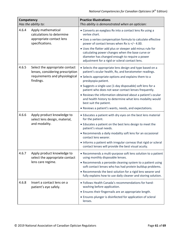| Competency<br>Has the ability to: |                                                                                   | <b>Practice Illustrations</b><br>This ability is demonstrated when an optician:                                                                                                                                    |
|-----------------------------------|-----------------------------------------------------------------------------------|--------------------------------------------------------------------------------------------------------------------------------------------------------------------------------------------------------------------|
| 4.6.4                             | Apply mathematical<br>calculations to determine                                   | • Converts an eyeglass Rx into a contact lens Rx using a<br>vertex chart.                                                                                                                                          |
|                                   | appropriate contact lens<br>specifications.                                       | • Uses a vertex compensation formula to calculate effective<br>power of contact lenses when Rx is $+/- 4.00$ .                                                                                                     |
|                                   |                                                                                   | • Uses the flatter add plus or steeper add minus rule for<br>calculating power changes when the base curve or<br>diameter has changed enough to require a power<br>adjustment for a rigid or scleral contact lens. |
| 4.6.5                             | Select the appropriate contact<br>lenses, considering prescription                | • Selects the appropriate lens design and type based on a<br>patient's ocular health, Rx, and keratometer readings.                                                                                                |
|                                   | requirements and physiological<br>findings.                                       | • Selects appropriate options and explains them to a<br>presbyopia patient.                                                                                                                                        |
|                                   |                                                                                   | • Suggests a single-use (1-day disposable) soft lens for a<br>patient who does not wear contact lenses frequently.                                                                                                 |
|                                   |                                                                                   | • Reviews the information obtained about a patient's ocular<br>and health history to determine what lens modality would<br>best suit the patient.                                                                  |
|                                   |                                                                                   | • Reviews a patient's wants, needs, and expectations.                                                                                                                                                              |
| 4.6.6                             | Apply product knowledge to<br>select lens design, material,<br>and modality.      | • Educates a patient with dry eyes on the best lens material<br>for the patient.                                                                                                                                   |
|                                   |                                                                                   | • Educates a patient on the best lens design to meet the<br>patient's visual needs.                                                                                                                                |
|                                   |                                                                                   | • Recommends a daily modality soft lens for an occasional<br>contact lens wearer.                                                                                                                                  |
|                                   |                                                                                   | • Informs a patient with irregular corneas that rigid or scleral<br>contact lenses will provide the best visual acuity.                                                                                            |
| 4.6.7                             | Apply product knowledge to<br>select the appropriate contact<br>lens care regime. | • Recommends a multi-purpose soft lens solution to a patient<br>using monthly disposable lenses.                                                                                                                   |
|                                   |                                                                                   | • Recommends a peroxide cleaning system to a patient using<br>soft contact lenses who has had protein buildup problems.                                                                                            |
|                                   |                                                                                   | • Recommends the best solution for a rigid lens wearer and<br>fully explains how to use daily cleaner and storing solution.                                                                                        |
| 4.6.8                             | Insert a contact lens on a<br>patient's eye safely.                               | . Follows Health Canada's recommendations for hand-<br>washing before application.                                                                                                                                 |
|                                   |                                                                                   | • Ensures their fingernails are an appropriate length.                                                                                                                                                             |
|                                   |                                                                                   | • Ensures plunger is disinfected for application of scleral<br>lenses.                                                                                                                                             |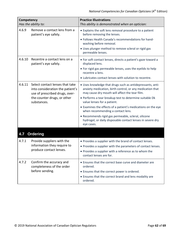<span id="page-61-0"></span>

| Competency<br>Has the ability to: |                                                                                                                                                     | <b>Practice Illustrations</b><br>This ability is demonstrated when an optician:                                                                                                                                                                                                                                                                                                                                                                                                                             |
|-----------------------------------|-----------------------------------------------------------------------------------------------------------------------------------------------------|-------------------------------------------------------------------------------------------------------------------------------------------------------------------------------------------------------------------------------------------------------------------------------------------------------------------------------------------------------------------------------------------------------------------------------------------------------------------------------------------------------------|
| 4.6.9                             | Remove a contact lens from a<br>patient's eye safely.                                                                                               | • Explains the soft lens removal procedure to a patient<br>before removing the lenses.<br>· Follows Health Canada's recommendations for hand-<br>washing before removal.<br>· Uses plunger method to remove scleral or rigid gas<br>permeable lenses.                                                                                                                                                                                                                                                       |
| 4.6.10                            | Recentre a contact lens on a<br>patient's eye safely.                                                                                               | • For soft contact lenses, directs a patient's gaze toward a<br>displaced lens.<br>• For rigid gas permeable lenses, uses the eyelids to help<br>recentre a lens.<br>. Lubricates contact lenses with solution to recentre.                                                                                                                                                                                                                                                                                 |
| 4.6.11                            | Select contact lenses that take<br>into consideration the patient's<br>use of prescribed drugs, over-<br>the-counter drugs, or other<br>substances. | . Uses knowledge that drugs such as antidepressants, anti-<br>anxiety medication, birth control, or any medication that<br>may cause dry mouth will affect the tear film.<br>• Performs a tear breakup test to determine suitable Dk<br>value lenses for a patient.<br>• Examines the effects of a patient's medications on the eye<br>when recommending a contact lens.<br>· Recommends rigid gas permeable, scleral, silicone<br>hydrogel, or daily disposable contact lenses in severe dry<br>eye cases. |
| 4.7                               | <b>Ordering</b>                                                                                                                                     |                                                                                                                                                                                                                                                                                                                                                                                                                                                                                                             |
| 4.7.1                             | Provide suppliers with the<br>information they require to<br>produce contact lenses.                                                                | • Provides a supplier with the brand of contact lenses.<br>• Provides a supplier with the parameters of contact lenses.<br>• Provides a supplier with a reference as to whom the<br>contact lenses are for.                                                                                                                                                                                                                                                                                                 |
| 4.7.2                             | Confirm the accuracy and<br>completeness of the order<br>before sending.                                                                            | • Ensures that the correct base curve and diameter are<br>ordered.<br>• Ensures that the correct power is ordered.<br>• Ensures that the correct brand and lens modality are<br>ordered.                                                                                                                                                                                                                                                                                                                    |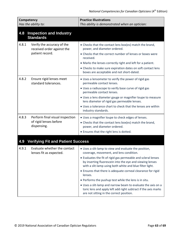<span id="page-62-1"></span><span id="page-62-0"></span>

| Competency<br>Has the ability to: |                                                                             | <b>Practice Illustrations</b><br>This ability is demonstrated when an optician:                                                                                                                                                                                                                                                                                                                                                                                                                                                                                                                             |
|-----------------------------------|-----------------------------------------------------------------------------|-------------------------------------------------------------------------------------------------------------------------------------------------------------------------------------------------------------------------------------------------------------------------------------------------------------------------------------------------------------------------------------------------------------------------------------------------------------------------------------------------------------------------------------------------------------------------------------------------------------|
| 4.8                               | <b>Inspection and Industry</b><br><b>Standards</b>                          |                                                                                                                                                                                                                                                                                                                                                                                                                                                                                                                                                                                                             |
| 4.8.1                             | Verify the accuracy of the<br>received order against the<br>patient record. | • Checks that the contact lens box(es) match the brand,<br>power, and diameter ordered.<br>• Checks that the correct number of lenses or boxes were<br>received.<br>• Marks the lenses correctly right and left for a patient.<br>• Checks to make sure expiration dates on soft contact lens<br>boxes are acceptable and not short-dated.                                                                                                                                                                                                                                                                  |
| 4.8.2                             | Ensure rigid lenses meet<br>standard tolerances.                            | • Uses a lensometer to verify the power of rigid gas<br>permeable contact lenses.<br>• Uses a radiuscope to verify base curve of rigid gas<br>permeable contact lenses.<br>• Uses a lens diameter gauge or magnifier loupe to measure<br>lens diameter of rigid gas permeable lenses.<br>. Uses a tolerance chart to check that the lenses are within<br>industry standards.                                                                                                                                                                                                                                |
| 4.8.3                             | Perform final visual inspection<br>of rigid lenses before<br>dispensing.    | • Uses a magnifier loupe to check edges of lenses.<br>• Checks that the contact lens box(es) match the brand,<br>power, and diameter ordered.<br>• Ensures that the right lens is dotted.                                                                                                                                                                                                                                                                                                                                                                                                                   |
| 4.9                               | <b>Verifying Fit and Patient Success</b>                                    |                                                                                                                                                                                                                                                                                                                                                                                                                                                                                                                                                                                                             |
| 4.9.1                             | Evaluate whether the contact<br>lenses fit as expected.                     | . Uses a slit-lamp to view and evaluate the position,<br>coverage, movement, and lens condition.<br>• Evaluates the fit of rigid gas permeable and scleral lenses<br>by inserting fluorescein into the eye and viewing lenses<br>with a slit-lamp using both white and blue filter light.<br>• Ensures that there is adequate corneal clearance for rigid<br>lenses.<br>• Performs the pushup test while the lens is in situ.<br>• Uses a slit-lamp and narrow beam to evaluate the axis on a<br>toric lens and apply left add right subtract if the axis marks<br>are not sitting in the correct position. |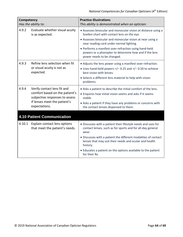<span id="page-63-0"></span>

| Competency          |                                                                                                                                                  | <b>Practice Illustrations</b>                                                                                                                 |
|---------------------|--------------------------------------------------------------------------------------------------------------------------------------------------|-----------------------------------------------------------------------------------------------------------------------------------------------|
| Has the ability to: |                                                                                                                                                  | This ability is demonstrated when an optician:                                                                                                |
| 4.9.2               | Evaluate whether visual acuity<br>is as expected.                                                                                                | • Assesses binocular and monocular vision at distance using a<br>Snellen chart with contact lens on the eye.                                  |
|                     |                                                                                                                                                  | • Assesses binocular and monocular vision at near using a<br>near reading card under normal lighting.                                         |
|                     |                                                                                                                                                  | • Performs a manifest over-refraction using hand-held<br>powers or a phoropter to determine how and if the lens<br>power needs to be changed. |
| 4.9.3               | Refine lens selection when fit<br>or visual acuity is not as<br>expected.                                                                        | • Adjusts the lens power using a manifest over-refraction.                                                                                    |
|                     |                                                                                                                                                  | • Uses hand-held powers $+/-$ 0.25 and $+/-$ 0.50 to achieve<br>best vision with lenses.                                                      |
|                     |                                                                                                                                                  | • Selects a different lens material to help with vision<br>problems.                                                                          |
| 4.9.4               | Verify contact lens fit and<br>comfort based on the patient's<br>subjective responses to assess<br>if lenses meet the patient's<br>expectations. | • Asks a patient to describe the initial comfort of the lens.                                                                                 |
|                     |                                                                                                                                                  | • Enquires how initial vision seems and asks if it seems<br>stable.                                                                           |
|                     |                                                                                                                                                  | • Asks a patient if they have any problems or concerns with<br>the contact lenses dispensed to them.                                          |
|                     | 4.10 Patient Communication                                                                                                                       |                                                                                                                                               |
| 4.10.1              | Explain contact lens options<br>that meet the patient's needs.                                                                                   | • Discusses with a patient their lifestyle needs and uses for<br>contact lenses, such as for sports and for all-day general<br>wear.          |
|                     |                                                                                                                                                  | • Discusses with a patient the different modalities of contact<br>lenses that may suit their needs and ocular and health<br>history.          |
|                     |                                                                                                                                                  | • Educates a patient on the options available to the patient<br>for their Rx.                                                                 |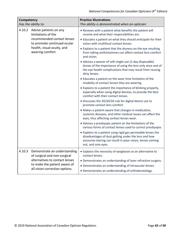| Competency<br>Has the ability to:                                                                           |                                                                                                                                                                                                       | <b>Practice Illustrations</b><br>This ability is demonstrated when an optician:                                                                                                                           |
|-------------------------------------------------------------------------------------------------------------|-------------------------------------------------------------------------------------------------------------------------------------------------------------------------------------------------------|-----------------------------------------------------------------------------------------------------------------------------------------------------------------------------------------------------------|
| 4.10.2                                                                                                      | Advise patients on any<br>limitations of the                                                                                                                                                          | • Reviews with a patient what benefits the patient will<br>receive and what their responsibilities are.                                                                                                   |
| recommended contact lenses<br>to promote continued ocular<br>health, visual acuity, and<br>wearing comfort. |                                                                                                                                                                                                       | • Educates a patient on what they should anticipate for their<br>vision with multifocal contact lenses.                                                                                                   |
|                                                                                                             |                                                                                                                                                                                                       | • Explains to a patient that the dryness on the eye resulting<br>from taking antihistamines can affect contact lens comfort<br>and vision.                                                                |
|                                                                                                             | • Advises a wearer of soft single-use (1-day disposable)<br>lenses of the importance of using the lens only once and of<br>the eye health complications that may result from reusing<br>dirty lenses. |                                                                                                                                                                                                           |
|                                                                                                             | • Educates a patient on the wear time limitation of the<br>modality of contact lenses they are wearing.                                                                                               |                                                                                                                                                                                                           |
|                                                                                                             | • Explains to a patient the importance of blinking properly,<br>especially when using digital devices, to provide the best<br>comfort with their contact lenses.                                      |                                                                                                                                                                                                           |
|                                                                                                             |                                                                                                                                                                                                       | • Discusses the 20/20/20 rule for digital device use to<br>promote contact lens comfort.                                                                                                                  |
|                                                                                                             |                                                                                                                                                                                                       | • Makes a patient aware that changes in medication,<br>systemic diseases, and other medical issues can affect the<br>eyes, thus affecting contact lenses wear.                                            |
|                                                                                                             |                                                                                                                                                                                                       | • Advises a presbyopic patient on the limitations of the<br>various forms of contact lenses used to correct presbyopia.                                                                                   |
|                                                                                                             |                                                                                                                                                                                                       | • Explains to a patient using rigid gas permeable lenses the<br>disadvantages of dust getting under the lens and how<br>excessive tearing can result in poor vision, lenses coming<br>out, and sore eyes. |
| 4.10.3                                                                                                      | Demonstrate an understanding<br>of surgical and non-surgical<br>alternatives to contact lenses<br>to make the patient aware of<br>all vision correction options.                                      | • Explains the necessity of eyeglasses as an alternative to<br>contact lenses.                                                                                                                            |
|                                                                                                             |                                                                                                                                                                                                       | • Demonstrates an understanding of laser refractive surgery.<br>• Demonstrates an understanding of intraocular lenses.<br>• Demonstrates an understanding of orthokeratology.                             |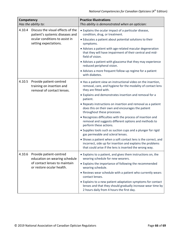| Competency<br>Has the ability to: |                                                                                                                                 | <b>Practice Illustrations</b><br>This ability is demonstrated when an optician:                                                                                                         |
|-----------------------------------|---------------------------------------------------------------------------------------------------------------------------------|-----------------------------------------------------------------------------------------------------------------------------------------------------------------------------------------|
| 4.10.4                            | Discuss the visual effects of the<br>patient's systemic diseases and<br>ocular conditions to assist in<br>setting expectations. | • Explains the ocular impact of a particular disease,<br>condition, drug, or treatment.<br>• Educates a patient about potential solutions to their<br>symptoms.                         |
|                                   |                                                                                                                                 | • Advises a patient with age-related macular degeneration<br>that they will have impairment of their central and mid-<br>field of vision.                                               |
|                                   |                                                                                                                                 | • Advises a patient with glaucoma that they may experience<br>reduced peripheral vision.                                                                                                |
|                                   |                                                                                                                                 | • Advises a more frequent follow-up regime for a patient<br>with diabetes.                                                                                                              |
| 4.10.5                            | Provide patient-centred<br>training on insertion and<br>removal of contact lenses.                                              | • Has a patient view an instructional video on the insertion,<br>removal, care, and hygiene for the modality of contact lens<br>they are fitted with.                                   |
|                                   |                                                                                                                                 | • Explains and demonstrates insertion and removal for a<br>patient.                                                                                                                     |
|                                   |                                                                                                                                 | • Repeats instructions on insertion and removal as a patient<br>does this on their own and encourages the patient<br>throughout these processes.                                        |
|                                   |                                                                                                                                 | • Recognizes difficulties with the process of insertion and<br>removal and suggests different options and methods to<br>perform these actions.                                          |
|                                   |                                                                                                                                 | • Supplies tools such as suction cups and a plunger for rigid<br>gas permeable and scleral lenses.                                                                                      |
|                                   |                                                                                                                                 | • Shows a patient when a soft contact lens is the correct, and<br>incorrect, side up for insertion and explains the problems<br>that could arise if the lens is inserted the wrong way. |
| 4.10.6                            | Provide patient-centred<br>education on wearing schedule<br>of contact lenses to maintain<br>or restore ocular health.          | • Explains to a patient, and gives them instructions on, the<br>wearing schedule for new wearers.                                                                                       |
|                                   |                                                                                                                                 | • Explains the importance of following the recommended<br>wearing schedule.                                                                                                             |
|                                   |                                                                                                                                 | • Reviews wear schedule with a patient who currently wears<br>contact lenses.                                                                                                           |
|                                   |                                                                                                                                 | • Explains to a new patient adaptation symptoms for contact<br>lenses and that they should gradually increase wear time by<br>2 hours daily from 4 hours the first day.                 |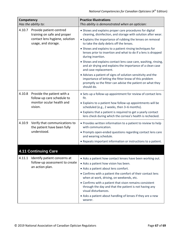<span id="page-66-0"></span>

| <b>Competency</b><br>Has the ability to: |                                                                                                                 | <b>Practice Illustrations</b><br>This ability is demonstrated when an optician:                                                                                                                   |
|------------------------------------------|-----------------------------------------------------------------------------------------------------------------|---------------------------------------------------------------------------------------------------------------------------------------------------------------------------------------------------|
| 4.10.7                                   | Provide patient-centred<br>training on safe and proper<br>contact lens hygiene, solution<br>usage, and storage. | • Shows and explains proper care procedures for digital<br>cleaning, disinfection, and storage with solution after wear.                                                                          |
|                                          |                                                                                                                 | • Explains the importance of rubbing the lenses on removal<br>to take the daily debris off the lenses.                                                                                            |
|                                          |                                                                                                                 | • Shows and explains to a patient rinsing techniques for<br>lenses prior to insertion and what to do if a lens is dropped<br>during insertion.                                                    |
|                                          |                                                                                                                 | • Shows and explains contact lens case care, washing, rinsing,<br>and air drying and explains the importance of a clean case<br>and case replacement.                                             |
|                                          |                                                                                                                 | • Advises a patient of signs of solution sensitivity and the<br>importance of letting the fitter know of this problem<br>promptly so the fitter can advise the patient on what they<br>should do. |
| 4.10.8                                   | Provide the patient with a<br>follow-up care schedule to<br>monitor ocular health and<br>vision.                | • Sets up a follow-up appointment for review of contact lens<br>fit.                                                                                                                              |
|                                          |                                                                                                                 | • Explains to a patient how follow-up appointments will be<br>scheduled (e.g., 2 weeks, then 3-6 months).                                                                                         |
|                                          |                                                                                                                 | • Explains that a patient is required to get a yearly contact<br>lens check during which the cornea's health is rechecked.                                                                        |
| 4.10.9                                   | Verify that communications to<br>the patient have been fully<br>understood.                                     | • Provides written information to a patient to review to help<br>with communication.                                                                                                              |
|                                          |                                                                                                                 | • Prompts open-ended questions regarding contact lens care<br>and wearing schedule.                                                                                                               |
|                                          |                                                                                                                 | • Repeats important information or instructions to a patient.                                                                                                                                     |
|                                          | 4.11 Continuing Care                                                                                            |                                                                                                                                                                                                   |
| 4.11.1                                   | Identify patient concerns at<br>follow-up assessment to create<br>an action plan.                               | • Asks a patient how contact lenses have been working out.                                                                                                                                        |
|                                          |                                                                                                                 | • Asks a patient how vision has been.                                                                                                                                                             |
|                                          |                                                                                                                 | • Asks a patient about lens comfort.                                                                                                                                                              |
|                                          |                                                                                                                 | • Confirms with a patient the comfort of their contact lens<br>when at work, driving, on weekends, etc.                                                                                           |
|                                          |                                                                                                                 | • Confirms with a patient that vison remains consistent<br>through the day and that the patient is not having any<br>visual disturbances.                                                         |
|                                          |                                                                                                                 | • Asks a patient about handling of lenses if they are a new<br>wearer.                                                                                                                            |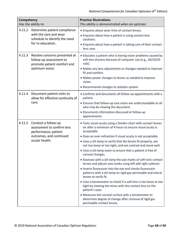| <b>Competency</b><br>Has the ability to: |                                                                                                                        | <b>Practice Illustrations</b><br>This ability is demonstrated when an optician:                                                                                                                                                                                                                                                                                                                                                                                                                                                                                                                                                                                                                                                                                                                                                                                                                                                                                                                                          |
|------------------------------------------|------------------------------------------------------------------------------------------------------------------------|--------------------------------------------------------------------------------------------------------------------------------------------------------------------------------------------------------------------------------------------------------------------------------------------------------------------------------------------------------------------------------------------------------------------------------------------------------------------------------------------------------------------------------------------------------------------------------------------------------------------------------------------------------------------------------------------------------------------------------------------------------------------------------------------------------------------------------------------------------------------------------------------------------------------------------------------------------------------------------------------------------------------------|
| 4.11.2                                   | Determine patient compliance<br>with the care and wear<br>schedule to identify the need<br>for re-education.           | • Enquires about wear time of contact lenses.<br>• Enquires about how a patient is using contact lens<br>solutions.<br>• Enquires about how a patient is taking care of their contact<br>lens case.                                                                                                                                                                                                                                                                                                                                                                                                                                                                                                                                                                                                                                                                                                                                                                                                                      |
| 4.11.3                                   | Resolve concerns presented at<br>follow-up assessment to<br>promote patient comfort and<br>optimum vision.             | • Educates a patient who is having vision problems caused by<br>soft lens dryness because of computer use (e.g., 20/20/20<br>rule).<br>• Makes any lens adjustments or changes needed to improve<br>fit and comfort.<br>• Makes power changes to lenses as needed to improve<br>vision.<br>• Recommends changes to solution system.                                                                                                                                                                                                                                                                                                                                                                                                                                                                                                                                                                                                                                                                                      |
| 4.11.4                                   | Document patient visits to<br>allow for effective continuity of<br>care.                                               | • Confirms and documents all follow-up appointments with a<br>patient.<br>• Ensures that follow-up care notes are understandable to all<br>who may be viewing the document.<br>• Documents information discussed at follow-up<br>appointments.                                                                                                                                                                                                                                                                                                                                                                                                                                                                                                                                                                                                                                                                                                                                                                           |
| 4.11.5                                   | Conduct a follow-up<br>assessment to confirm lens<br>performance, patient<br>outcomes, and continued<br>ocular health. | . Tests visual acuity using a Snellen chart with contact lenses<br>on after a minimum of 4 hours to ensure visual acuity is<br>acceptable.<br>. Does an over-refraction if visual acuity is not acceptable.<br>• Uses a slit-lamp to verify that the lenses fit properly, are<br>not too loose or too tight, and are centred and move well.<br>• Uses a slit-lamp exam to ensure that a patient is free of<br>corneal changes.<br>• Assesses with a slit-lamp the axis marks of soft toric contact<br>lenses and adjusts axis marks using left add right subtract.<br>• Inserts fluorescein into the eye and checks fluorescein<br>patterns with a slit-lamp on rigid gas permeable and scleral<br>lenses to verify fit.<br>• Uses a keratometer to check if a soft lens is too loose or too<br>tight by viewing the mires with the contact lens on the<br>patient's eyes.<br>• Measures the corneal surface with a keratometer to<br>determine degree of change after removal of rigid gas<br>permeable contact lenses. |